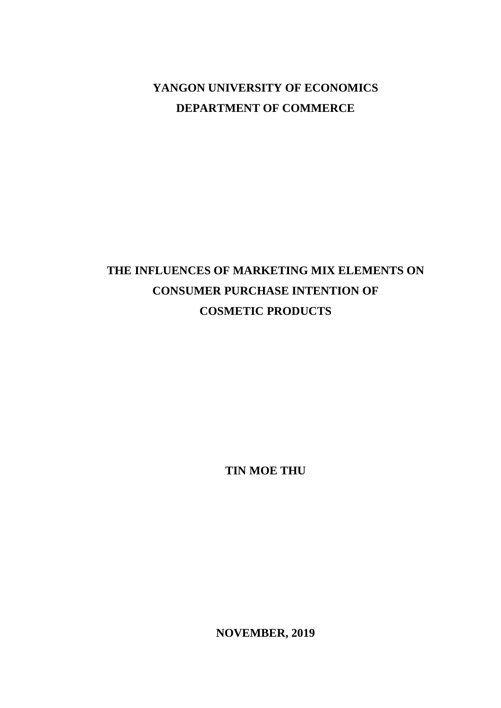## **YANGON UNIVERSITY OF ECONOMICS DEPARTMENT OF COMMERCE**

# **THE INFLUENCES OF MARKETING MIX ELEMENTS ON CONSUMER PURCHASE INTENTION OF COSMETIC PRODUCTS**

**TIN MOE THU**

**NOVEMBER, 2019**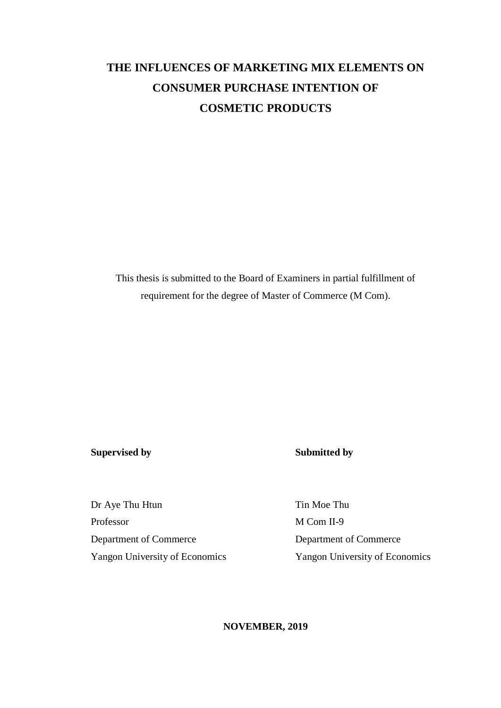## **THE INFLUENCES OF MARKETING MIX ELEMENTS ON CONSUMER PURCHASE INTENTION OF COSMETIC PRODUCTS**

This thesis is submitted to the Board of Examiners in partial fulfillment of requirement for the degree of Master of Commerce (M Com).

### **Supervised by Submitted by**

Dr Aye Thu Htun Tin Moe Thu Professor M Com II-9 Department of Commerce Department of Commerce Yangon University of Economics Yangon University of Economics

### **NOVEMBER, 2019**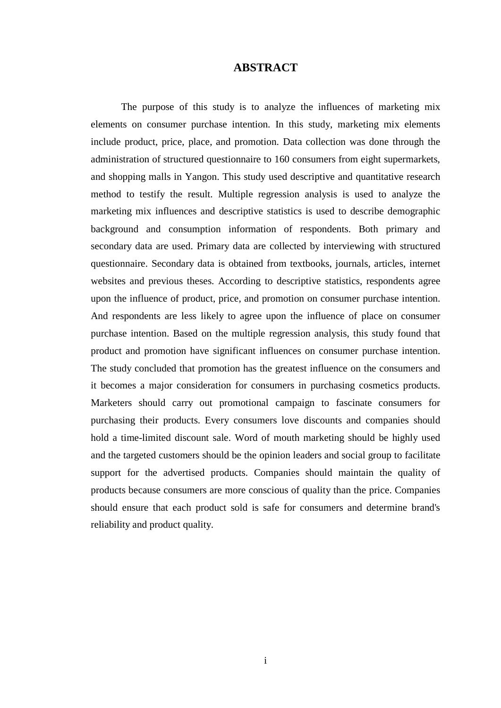### **ABSTRACT**

The purpose of this study is to analyze the influences of marketing mix elements on consumer purchase intention. In this study, marketing mix elements include product, price, place, and promotion. Data collection was done through the administration of structured questionnaire to 160 consumers from eight supermarkets, and shopping malls in Yangon. This study used descriptive and quantitative research method to testify the result. Multiple regression analysis is used to analyze the marketing mix influences and descriptive statistics is used to describe demographic background and consumption information of respondents. Both primary and secondary data are used. Primary data are collected by interviewing with structured questionnaire. Secondary data is obtained from textbooks, journals, articles, internet websites and previous theses. According to descriptive statistics, respondents agree upon the influence of product, price, and promotion on consumer purchase intention. And respondents are less likely to agree upon the influence of place on consumer purchase intention. Based on the multiple regression analysis, this study found that product and promotion have significant influences on consumer purchase intention. The study concluded that promotion has the greatest influence on the consumers and it becomes a major consideration for consumers in purchasing cosmetics products. Marketers should carry out promotional campaign to fascinate consumers for purchasing their products. Every consumers love discounts and companies should hold a time-limited discount sale. Word of mouth marketing should be highly used and the targeted customers should be the opinion leaders and social group to facilitate support for the advertised products. Companies should maintain the quality of products because consumers are more conscious of quality than the price. Companies should ensure that each product sold is safe for consumers and determine brand's reliability and product quality.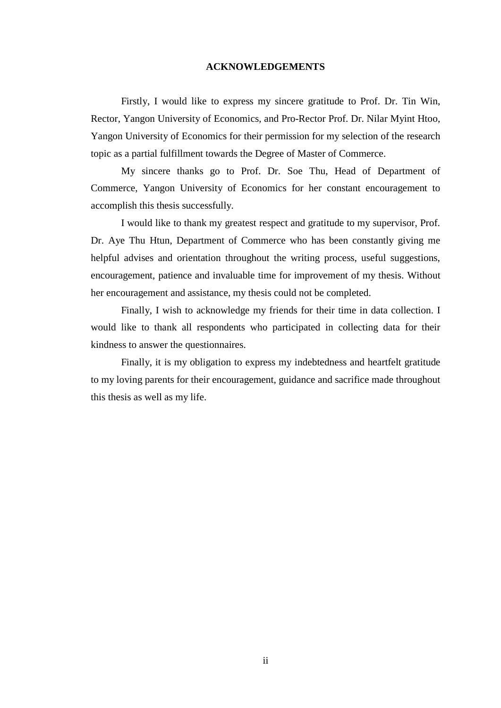#### **ACKNOWLEDGEMENTS**

Firstly, I would like to express my sincere gratitude to Prof. Dr. Tin Win, Rector, Yangon University of Economics, and Pro-Rector Prof. Dr. Nilar Myint Htoo, Yangon University of Economics for their permission for my selection of the research topic as a partial fulfillment towards the Degree of Master of Commerce.

My sincere thanks go to Prof. Dr. Soe Thu, Head of Department of Commerce, Yangon University of Economics for her constant encouragement to accomplish this thesis successfully.

I would like to thank my greatest respect and gratitude to my supervisor, Prof. Dr. Aye Thu Htun, Department of Commerce who has been constantly giving me helpful advises and orientation throughout the writing process, useful suggestions, encouragement, patience and invaluable time for improvement of my thesis. Without her encouragement and assistance, my thesis could not be completed.

Finally, I wish to acknowledge my friends for their time in data collection. I would like to thank all respondents who participated in collecting data for their kindness to answer the questionnaires.

Finally, it is my obligation to express my indebtedness and heartfelt gratitude to my loving parents for their encouragement, guidance and sacrifice made throughout this thesis as well as my life.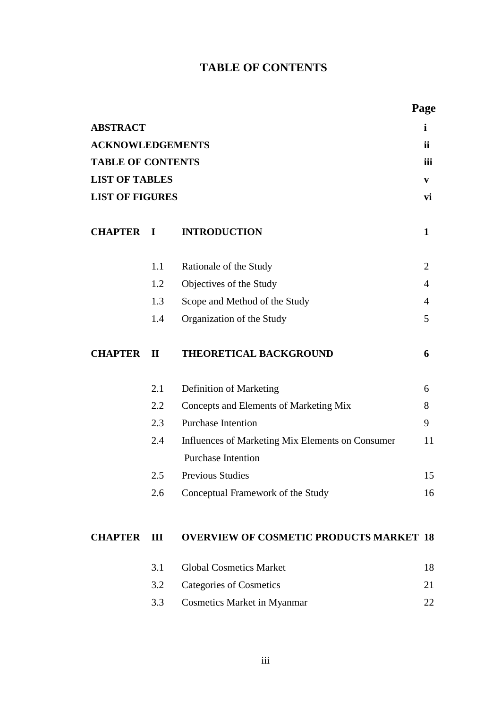## **TABLE OF CONTENTS**

|                          |              |                                                                               | Page           |
|--------------------------|--------------|-------------------------------------------------------------------------------|----------------|
| <b>ABSTRACT</b>          |              |                                                                               | i              |
| <b>ACKNOWLEDGEMENTS</b>  |              |                                                                               | <b>ii</b>      |
| <b>TABLE OF CONTENTS</b> |              |                                                                               | iii            |
| <b>LIST OF TABLES</b>    |              |                                                                               | V              |
| <b>LIST OF FIGURES</b>   |              |                                                                               | vi             |
| <b>CHAPTER I</b>         |              | <b>INTRODUCTION</b>                                                           | 1              |
|                          | 1.1          | Rationale of the Study                                                        | 2              |
|                          | 1.2          | Objectives of the Study                                                       | $\overline{4}$ |
|                          | 1.3          | Scope and Method of the Study                                                 | $\overline{4}$ |
|                          | 1.4          | Organization of the Study                                                     | 5              |
| <b>CHAPTER</b>           | $\mathbf{I}$ | THEORETICAL BACKGROUND                                                        | 6              |
|                          | 2.1          | Definition of Marketing                                                       | 6              |
|                          | 2.2          | Concepts and Elements of Marketing Mix                                        | 8              |
|                          | 2.3          | <b>Purchase Intention</b>                                                     | 9              |
|                          | 2.4          | Influences of Marketing Mix Elements on Consumer<br><b>Purchase Intention</b> | 11             |
|                          | 2.5          | <b>Previous Studies</b>                                                       | 15             |
|                          | 2.6          | Conceptual Framework of the Study                                             | 16             |
| <b>CHAPTER</b>           | III          | <b>OVERVIEW OF COSMETIC PRODUCTS MARKET 18</b>                                |                |
|                          | 3.1          | <b>Global Cosmetics Market</b>                                                | 18             |
|                          | 3.2          | <b>Categories of Cosmetics</b>                                                | 21             |
|                          | 3.3          | <b>Cosmetics Market in Myanmar</b>                                            | 22             |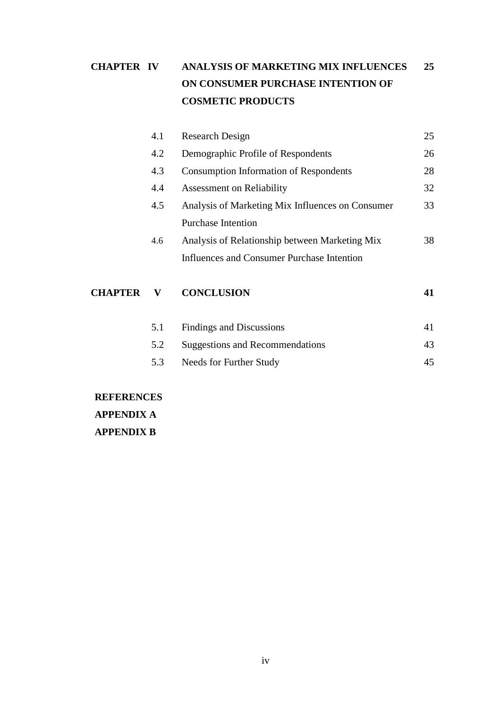## **CHAPTER IV ANALYSIS OF MARKETING MIX INFLUENCES 25 ON CONSUMER PURCHASE INTENTION OF COSMETIC PRODUCTS**

| <b>CHAPTER</b> | V   | <b>CONCLUSION</b>                                | 41 |
|----------------|-----|--------------------------------------------------|----|
|                |     | Influences and Consumer Purchase Intention       |    |
|                | 4.6 | Analysis of Relationship between Marketing Mix   | 38 |
|                |     | <b>Purchase Intention</b>                        |    |
|                | 4.5 | Analysis of Marketing Mix Influences on Consumer | 33 |
|                | 4.4 | Assessment on Reliability                        | 32 |
|                | 4.3 | <b>Consumption Information of Respondents</b>    | 28 |
|                | 4.2 | Demographic Profile of Respondents               | 26 |
|                | 4.1 | <b>Research Design</b>                           | 25 |

| 5.1 | Findings and Discussions            |    |
|-----|-------------------------------------|----|
|     | 5.2 Suggestions and Recommendations | 43 |
| 5.3 | Needs for Further Study             |    |

**REFERENCES APPENDIX A APPENDIX B**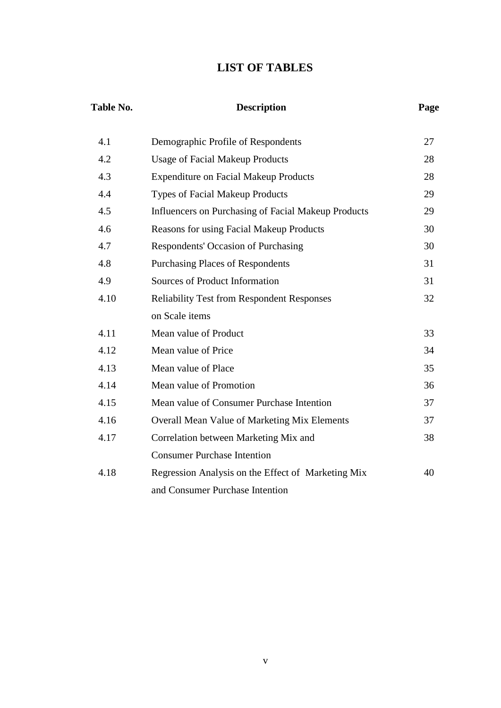## **LIST OF TABLES**

| Table No. | <b>Description</b>                                  | Page |
|-----------|-----------------------------------------------------|------|
| 4.1       | Demographic Profile of Respondents                  | 27   |
| 4.2       | <b>Usage of Facial Makeup Products</b>              | 28   |
| 4.3       | <b>Expenditure on Facial Makeup Products</b>        | 28   |
| 4.4       | <b>Types of Facial Makeup Products</b>              | 29   |
| 4.5       | Influencers on Purchasing of Facial Makeup Products | 29   |
| 4.6       | <b>Reasons for using Facial Makeup Products</b>     | 30   |
| 4.7       | Respondents' Occasion of Purchasing                 | 30   |
| 4.8       | <b>Purchasing Places of Respondents</b>             | 31   |
| 4.9       | Sources of Product Information                      | 31   |
| 4.10      | <b>Reliability Test from Respondent Responses</b>   | 32   |
|           | on Scale items                                      |      |
| 4.11      | Mean value of Product                               | 33   |
| 4.12      | Mean value of Price                                 | 34   |
| 4.13      | Mean value of Place                                 | 35   |
| 4.14      | Mean value of Promotion                             | 36   |
| 4.15      | Mean value of Consumer Purchase Intention           | 37   |
| 4.16      | <b>Overall Mean Value of Marketing Mix Elements</b> | 37   |
| 4.17      | Correlation between Marketing Mix and               | 38   |
|           | <b>Consumer Purchase Intention</b>                  |      |
| 4.18      | Regression Analysis on the Effect of Marketing Mix  | 40   |
|           | and Consumer Purchase Intention                     |      |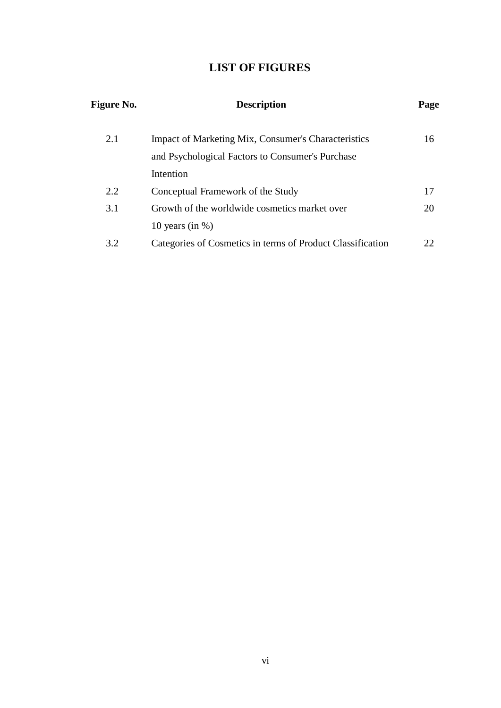## **LIST OF FIGURES**

| <b>Figure No.</b> | <b>Description</b>                                         | Page |
|-------------------|------------------------------------------------------------|------|
| 2.1               | <b>Impact of Marketing Mix, Consumer's Characteristics</b> | 16   |
|                   | and Psychological Factors to Consumer's Purchase           |      |
|                   | Intention                                                  |      |
| 2.2               | Conceptual Framework of the Study                          | 17   |
| 3.1               | Growth of the worldwide cosmetics market over              | 20   |
|                   | 10 years (in $\%$ )                                        |      |
| 3.2               | Categories of Cosmetics in terms of Product Classification | 22   |
|                   |                                                            |      |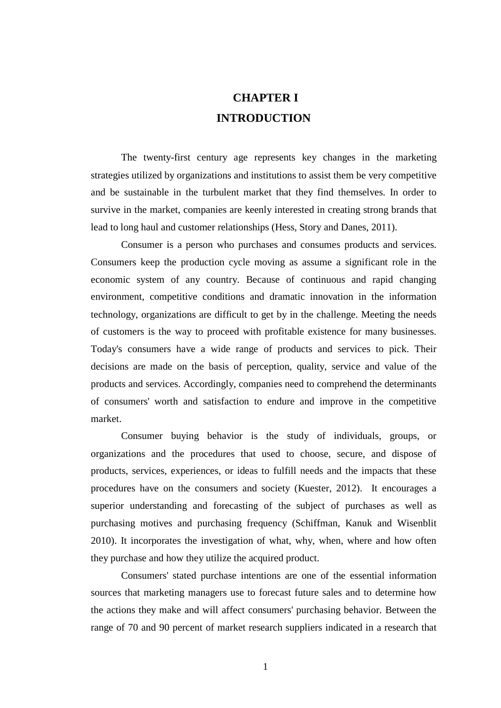## **CHAPTER I INTRODUCTION**

The twenty-first century age represents key changes in the marketing strategies utilized by organizations and institutions to assist them be very competitive and be sustainable in the turbulent market that they find themselves. In order to survive in the market, companies are keenly interested in creating strong brands that lead to long haul and customer relationships (Hess, Story and Danes, 2011).

Consumer is a person who purchases and consumes products and services. Consumers keep the production cycle moving as assume a significant role in the economic system of any country. Because of continuous and rapid changing environment, competitive conditions and dramatic innovation in the information technology, organizations are difficult to get by in the challenge. Meeting the needs of customers is the way to proceed with profitable existence for many businesses. Today's consumers have a wide range of products and services to pick. Their decisions are made on the basis of perception, quality, service and value of the products and services. Accordingly, companies need to comprehend the determinants of consumers' worth and satisfaction to endure and improve in the competitive market.

Consumer buying behavior is the study of individuals, groups, or organizations and the procedures that used to choose, secure, and dispose of products, services, experiences, or ideas to fulfill needs and the impacts that these procedures have on the consumers and society (Kuester, 2012). It encourages a superior understanding and forecasting of the subject of purchases as well as purchasing motives and purchasing frequency (Schiffman, Kanuk and Wisenblit 2010). It incorporates the investigation of what, why, when, where and how often they purchase and how they utilize the acquired product.

Consumers' stated purchase intentions are one of the essential information sources that marketing managers use to forecast future sales and to determine how the actions they make and will affect consumers' purchasing behavior. Between the range of 70 and 90 percent of market research suppliers indicated in a research that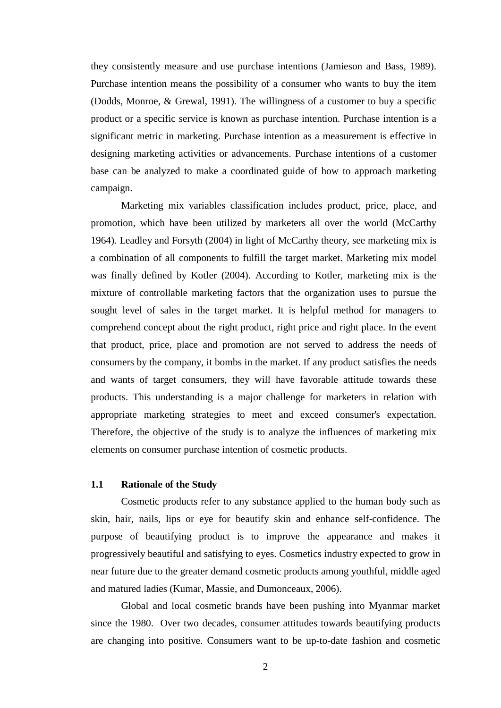they consistently measure and use purchase intentions (Jamieson and Bass, 1989). Purchase intention means the possibility of a consumer who wants to buy the item (Dodds, Monroe, & Grewal, 1991). The willingness of a customer to buy a specific product or a specific service is known as purchase intention. Purchase intention is a significant metric in marketing. Purchase intention as a measurement is effective in designing marketing activities or advancements. Purchase intentions of a customer base can be analyzed to make a coordinated guide of how to approach marketing campaign.

Marketing mix variables classification includes product, price, place, and promotion, which have been utilized by marketers all over the world (McCarthy 1964). Leadley and Forsyth (2004) in light of McCarthy theory, see marketing mix is a combination of all components to fulfill the target market. Marketing mix model was finally defined by Kotler (2004). According to Kotler, marketing mix is the mixture of controllable marketing factors that the organization uses to pursue the sought level of sales in the target market. It is helpful method for managers to comprehend concept about the right product, right price and right place. In the event that product, price, place and promotion are not served to address the needs of consumers by the company, it bombs in the market. If any product satisfies the needs and wants of target consumers, they will have favorable attitude towards these products. This understanding is a major challenge for marketers in relation with appropriate marketing strategies to meet and exceed consumer's expectation. Therefore, the objective of the study is to analyze the influences of marketing mix elements on consumer purchase intention of cosmetic products.

### **1.1 Rationale of the Study**

Cosmetic products refer to any substance applied to the human body such as skin, hair, nails, lips or eye for beautify skin and enhance self-confidence. The purpose of beautifying product is to improve the appearance and makes it progressively beautiful and satisfying to eyes. Cosmetics industry expected to grow in near future due to the greater demand cosmetic products among youthful, middle aged and matured ladies (Kumar, Massie, and Dumonceaux, 2006).

Global and local cosmetic brands have been pushing into Myanmar market since the 1980. Over two decades, consumer attitudes towards beautifying products are changing into positive. Consumers want to be up-to-date fashion and cosmetic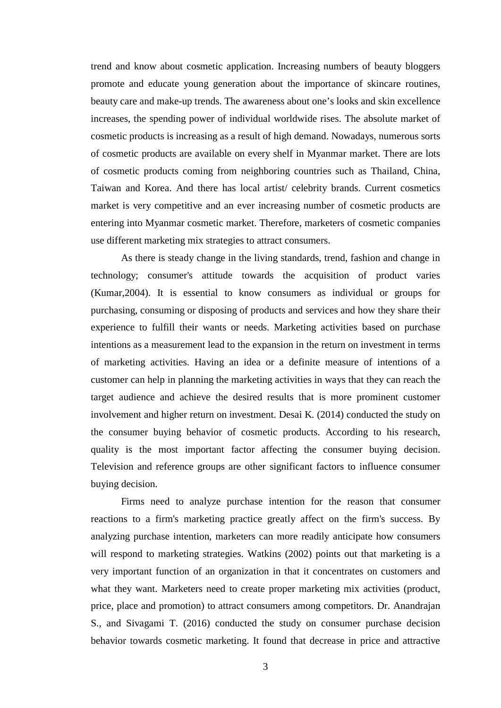trend and know about cosmetic application. Increasing numbers of beauty bloggers promote and educate young generation about the importance of skincare routines, beauty care and make-up trends. The awareness about one's looks and skin excellence increases, the spending power of individual worldwide rises. The absolute market of cosmetic products is increasing as a result of high demand. Nowadays, numerous sorts of cosmetic products are available on every shelf in Myanmar market. There are lots of cosmetic products coming from neighboring countries such as Thailand, China, Taiwan and Korea. And there has local artist/ celebrity brands. Current cosmetics market is very competitive and an ever increasing number of cosmetic products are entering into Myanmar cosmetic market. Therefore, marketers of cosmetic companies use different marketing mix strategies to attract consumers.

As there is steady change in the living standards, trend, fashion and change in technology; consumer's attitude towards the acquisition of product varies (Kumar,2004). It is essential to know consumers as individual or groups for purchasing, consuming or disposing of products and services and how they share their experience to fulfill their wants or needs. Marketing activities based on purchase intentions as a measurement lead to the expansion in the return on investment in terms of marketing activities. Having an idea or a definite measure of intentions of a customer can help in planning the marketing activities in ways that they can reach the target audience and achieve the desired results that is more prominent customer involvement and higher return on investment. Desai K. (2014) conducted the study on the consumer buying behavior of cosmetic products. According to his research, quality is the most important factor affecting the consumer buying decision. Television and reference groups are other significant factors to influence consumer buying decision.

Firms need to analyze purchase intention for the reason that consumer reactions to a firm's marketing practice greatly affect on the firm's success. By analyzing purchase intention, marketers can more readily anticipate how consumers will respond to marketing strategies. Watkins (2002) points out that marketing is a very important function of an organization in that it concentrates on customers and what they want. Marketers need to create proper marketing mix activities (product, price, place and promotion) to attract consumers among competitors. Dr. Anandrajan S., and Sivagami T. (2016) conducted the study on consumer purchase decision behavior towards cosmetic marketing. It found that decrease in price and attractive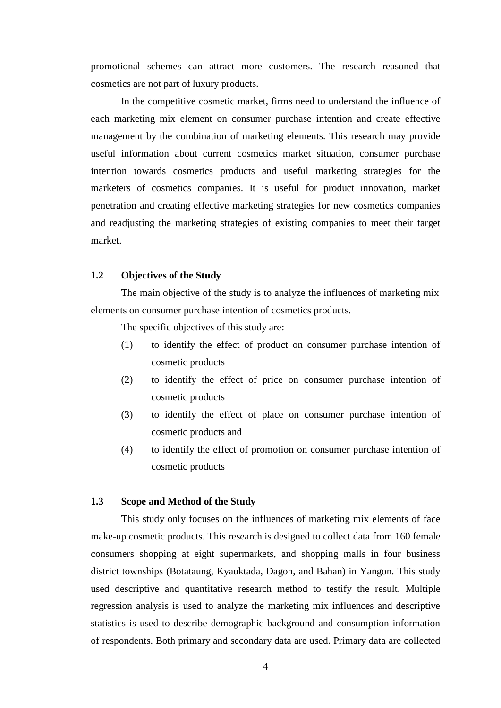promotional schemes can attract more customers. The research reasoned that cosmetics are not part of luxury products.

In the competitive cosmetic market, firms need to understand the influence of each marketing mix element on consumer purchase intention and create effective management by the combination of marketing elements. This research may provide useful information about current cosmetics market situation, consumer purchase intention towards cosmetics products and useful marketing strategies for the marketers of cosmetics companies. It is useful for product innovation, market penetration and creating effective marketing strategies for new cosmetics companies and readjusting the marketing strategies of existing companies to meet their target market.

### **1.2 Objectives of the Study**

The main objective of the study is to analyze the influences of marketing mix elements on consumer purchase intention of cosmetics products.

The specific objectives of this study are:

- (1) to identify the effect of product on consumer purchase intention of cosmetic products
- (2) to identify the effect of price on consumer purchase intention of cosmetic products
- (3) to identify the effect of place on consumer purchase intention of cosmetic products and
- (4) to identify the effect of promotion on consumer purchase intention of cosmetic products

### **1.3 Scope and Method of the Study**

This study only focuses on the influences of marketing mix elements of face make-up cosmetic products. This research is designed to collect data from 160 female consumers shopping at eight supermarkets, and shopping malls in four business district townships (Botataung, Kyauktada, Dagon, and Bahan) in Yangon. This study used descriptive and quantitative research method to testify the result. Multiple regression analysis is used to analyze the marketing mix influences and descriptive statistics is used to describe demographic background and consumption information of respondents. Both primary and secondary data are used. Primary data are collected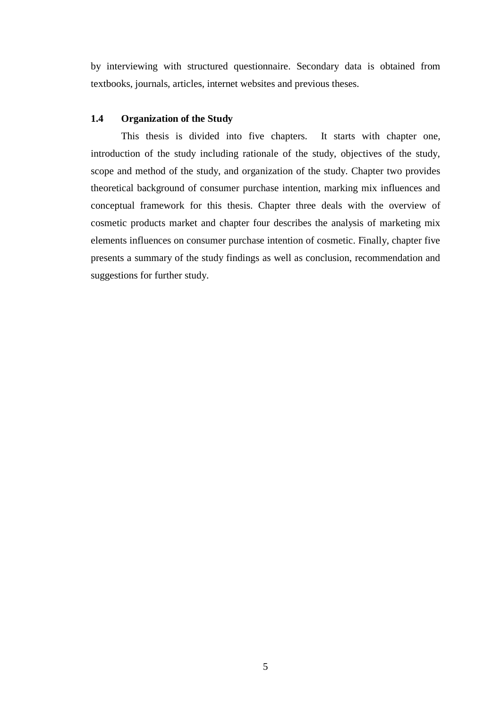by interviewing with structured questionnaire. Secondary data is obtained from textbooks, journals, articles, internet websites and previous theses.

### **1.4 Organization of the Study**

This thesis is divided into five chapters. It starts with chapter one, introduction of the study including rationale of the study, objectives of the study, scope and method of the study, and organization of the study. Chapter two provides theoretical background of consumer purchase intention, marking mix influences and conceptual framework for this thesis. Chapter three deals with the overview of cosmetic products market and chapter four describes the analysis of marketing mix elements influences on consumer purchase intention of cosmetic. Finally, chapter five presents a summary of the study findings as well as conclusion, recommendation and suggestions for further study.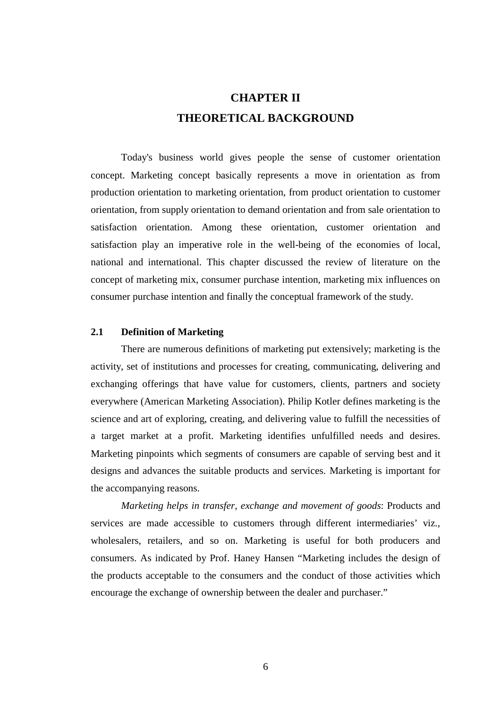## **CHAPTER II THEORETICAL BACKGROUND**

Today's business world gives people the sense of customer orientation concept. Marketing concept basically represents a move in orientation as from production orientation to marketing orientation, from product orientation to customer orientation, from supply orientation to demand orientation and from sale orientation to satisfaction orientation. Among these orientation, customer orientation and satisfaction play an imperative role in the well-being of the economies of local, national and international. This chapter discussed the review of literature on the concept of marketing mix, consumer purchase intention, marketing mix influences on consumer purchase intention and finally the conceptual framework of the study.

### **2.1 Definition of Marketing**

There are numerous definitions of marketing put extensively; marketing is the activity, set of institutions and processes for creating, communicating, delivering and exchanging offerings that have value for customers, clients, partners and society everywhere (American Marketing Association). Philip Kotler defines marketing is the science and art of exploring, creating, and delivering value to fulfill the necessities of a target market at a profit. Marketing identifies unfulfilled needs and desires. Marketing pinpoints which segments of consumers are capable of serving best and it designs and advances the suitable products and services. Marketing is important for the accompanying reasons.

*Marketing helps in transfer, exchange and movement of goods*: Products and services are made accessible to customers through different intermediaries' viz., wholesalers, retailers, and so on. Marketing is useful for both producers and consumers. As indicated by Prof. Haney Hansen "Marketing includes the design of the products acceptable to the consumers and the conduct of those activities which encourage the exchange of ownership between the dealer and purchaser."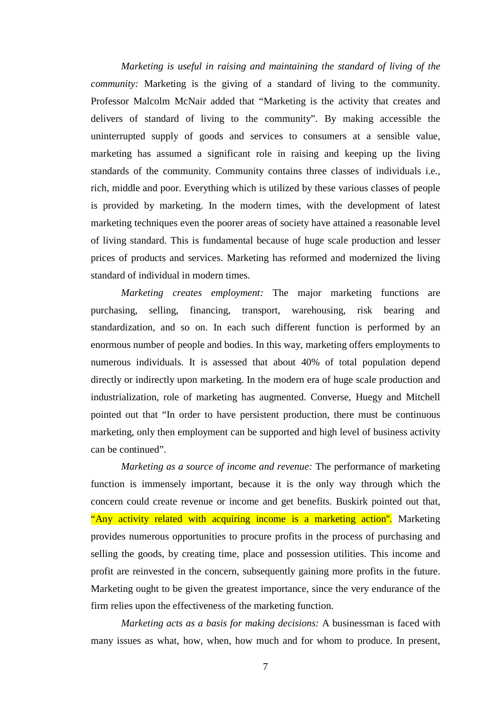*Marketing is useful in raising and maintaining the standard of living of the community:* Marketing is the giving of a standard of living to the community. Professor Malcolm McNair added that "Marketing is the activity that creates and delivers of standard of living to the community". By making accessible the uninterrupted supply of goods and services to consumers at a sensible value, marketing has assumed a significant role in raising and keeping up the living standards of the community. Community contains three classes of individuals i.e., rich, middle and poor. Everything which is utilized by these various classes of people is provided by marketing. In the modern times, with the development of latest marketing techniques even the poorer areas of society have attained a reasonable level of living standard. This is fundamental because of huge scale production and lesser prices of products and services. Marketing has reformed and modernized the living standard of individual in modern times.

*Marketing creates employment:* The major marketing functions are purchasing, selling, financing, transport, warehousing, risk bearing and standardization, and so on. In each such different function is performed by an enormous number of people and bodies. In this way, marketing offers employments to numerous individuals. It is assessed that about 40% of total population depend directly or indirectly upon marketing. In the modern era of huge scale production and industrialization, role of marketing has augmented. Converse, Huegy and Mitchell pointed out that "In order to have persistent production, there must be continuous marketing, only then employment can be supported and high level of business activity can be continued".

*Marketing as a source of income and revenue:* The performance of marketing function is immensely important, because it is the only way through which the concern could create revenue or income and get benefits. Buskirk pointed out that, "Any activity related with acquiring income is a marketing action''. Marketing provides numerous opportunities to procure profits in the process of purchasing and selling the goods, by creating time, place and possession utilities. This income and profit are reinvested in the concern, subsequently gaining more profits in the future. Marketing ought to be given the greatest importance, since the very endurance of the firm relies upon the effectiveness of the marketing function.

*Marketing acts as a basis for making decisions:* A businessman is faced with many issues as what, how, when, how much and for whom to produce. In present,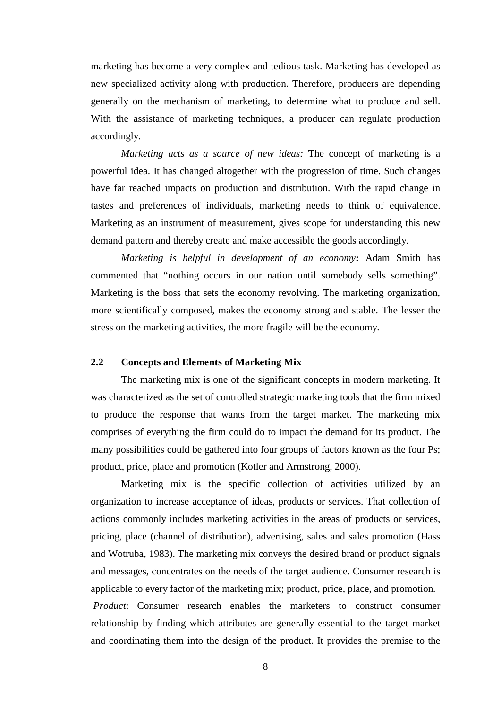marketing has become a very complex and tedious task. Marketing has developed as new specialized activity along with production. Therefore, producers are depending generally on the mechanism of marketing, to determine what to produce and sell. With the assistance of marketing techniques, a producer can regulate production accordingly.

*Marketing acts as a source of new ideas:* The concept of marketing is a powerful idea. It has changed altogether with the progression of time. Such changes have far reached impacts on production and distribution. With the rapid change in tastes and preferences of individuals, marketing needs to think of equivalence. Marketing as an instrument of measurement, gives scope for understanding this new demand pattern and thereby create and make accessible the goods accordingly.

*Marketing is helpful in development of an economy***:** Adam Smith has commented that "nothing occurs in our nation until somebody sells something". Marketing is the boss that sets the economy revolving. The marketing organization, more scientifically composed, makes the economy strong and stable. The lesser the stress on the marketing activities, the more fragile will be the economy.

### **2.2 Concepts and Elements of Marketing Mix**

The marketing mix is one of the significant concepts in modern marketing. It was characterized as the set of controlled strategic marketing tools that the firm mixed to produce the response that wants from the target market. The marketing mix comprises of everything the firm could do to impact the demand for its product. The many possibilities could be gathered into four groups of factors known as the four Ps; product, price, place and promotion (Kotler and Armstrong, 2000).

Marketing mix is the specific collection of activities utilized by an organization to increase acceptance of ideas, products or services. That collection of actions commonly includes marketing activities in the areas of products or services, pricing, place (channel of distribution), advertising, sales and sales promotion (Hass and Wotruba, 1983). The marketing mix conveys the desired brand or product signals and messages, concentrates on the needs of the target audience. Consumer research is applicable to every factor of the marketing mix; product, price, place, and promotion. *Product*: Consumer research enables the marketers to construct consumer

relationship by finding which attributes are generally essential to the target market and coordinating them into the design of the product. It provides the premise to the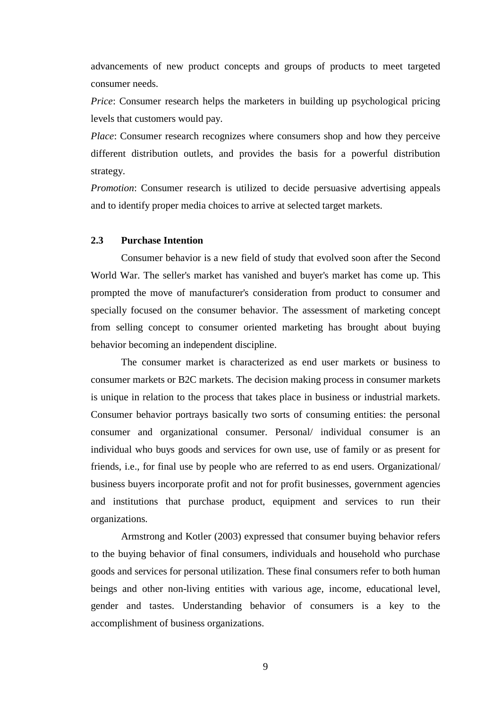advancements of new product concepts and groups of products to meet targeted consumer needs.

*Price*: Consumer research helps the marketers in building up psychological pricing levels that customers would pay.

*Place*: Consumer research recognizes where consumers shop and how they perceive different distribution outlets, and provides the basis for a powerful distribution strategy.

*Promotion*: Consumer research is utilized to decide persuasive advertising appeals and to identify proper media choices to arrive at selected target markets.

### **2.3 Purchase Intention**

Consumer behavior is a new field of study that evolved soon after the Second World War. The seller's market has vanished and buyer's market has come up. This prompted the move of manufacturer's consideration from product to consumer and specially focused on the consumer behavior. The assessment of marketing concept from selling concept to consumer oriented marketing has brought about buying behavior becoming an independent discipline.

The consumer market is characterized as end user markets or business to consumer markets or B2C markets. The decision making process in consumer markets is unique in relation to the process that takes place in business or industrial markets. Consumer behavior portrays basically two sorts of consuming entities: the personal consumer and organizational consumer. Personal/ individual consumer is an individual who buys goods and services for own use, use of family or as present for friends, i.e., for final use by people who are referred to as end users. Organizational/ business buyers incorporate profit and not for profit businesses, government agencies and institutions that purchase product, equipment and services to run their organizations.

Armstrong and Kotler (2003) expressed that consumer buying behavior refers to the buying behavior of final consumers, individuals and household who purchase goods and services for personal utilization. These final consumers refer to both human beings and other non-living entities with various age, income, educational level, gender and tastes. Understanding behavior of consumers is a key to the accomplishment of business organizations.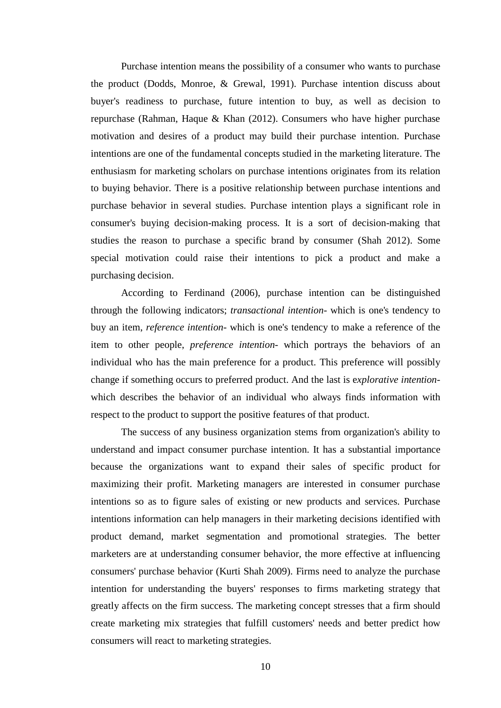Purchase intention means the possibility of a consumer who wants to purchase the product (Dodds, Monroe, & Grewal, 1991). Purchase intention discuss about buyer's readiness to purchase, future intention to buy, as well as decision to repurchase (Rahman, Haque & Khan (2012). Consumers who have higher purchase motivation and desires of a product may build their purchase intention. Purchase intentions are one of the fundamental concepts studied in the marketing literature. The enthusiasm for marketing scholars on purchase intentions originates from its relation to buying behavior. There is a positive relationship between purchase intentions and purchase behavior in several studies. Purchase intention plays a significant role in consumer's buying decision-making process. It is a sort of decision-making that studies the reason to purchase a specific brand by consumer (Shah 2012). Some special motivation could raise their intentions to pick a product and make a purchasing decision.

According to Ferdinand (2006), purchase intention can be distinguished through the following indicators; *transactional intention*- which is one's tendency to buy an item, *reference intention*- which is one's tendency to make a reference of the item to other people, *preference intention*- which portrays the behaviors of an individual who has the main preference for a product. This preference will possibly change if something occurs to preferred product. And the last is e*xplorative intention*which describes the behavior of an individual who always finds information with respect to the product to support the positive features of that product.

The success of any business organization stems from organization's ability to understand and impact consumer purchase intention. It has a substantial importance because the organizations want to expand their sales of specific product for maximizing their profit. Marketing managers are interested in consumer purchase intentions so as to figure sales of existing or new products and services. Purchase intentions information can help managers in their marketing decisions identified with product demand, market segmentation and promotional strategies. The better marketers are at understanding consumer behavior, the more effective at influencing consumers' purchase behavior (Kurti Shah 2009). Firms need to analyze the purchase intention for understanding the buyers' responses to firms marketing strategy that greatly affects on the firm success. The marketing concept stresses that a firm should create marketing mix strategies that fulfill customers' needs and better predict how consumers will react to marketing strategies.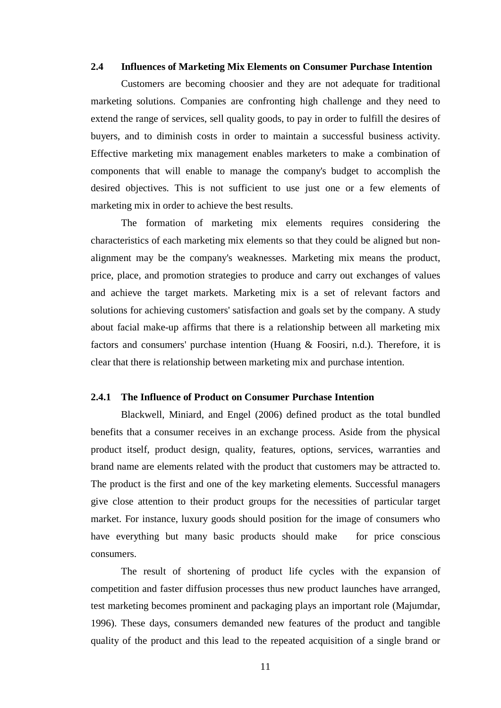#### **2.4 Influences of Marketing Mix Elements on Consumer Purchase Intention**

Customers are becoming choosier and they are not adequate for traditional marketing solutions. Companies are confronting high challenge and they need to extend the range of services, sell quality goods, to pay in order to fulfill the desires of buyers, and to diminish costs in order to maintain a successful business activity. Effective marketing mix management enables marketers to make a combination of components that will enable to manage the company's budget to accomplish the desired objectives. This is not sufficient to use just one or a few elements of marketing mix in order to achieve the best results.

The formation of marketing mix elements requires considering the characteristics of each marketing mix elements so that they could be aligned but nonalignment may be the company's weaknesses. Marketing mix means the product, price, place, and promotion strategies to produce and carry out exchanges of values and achieve the target markets. Marketing mix is a set of relevant factors and solutions for achieving customers' satisfaction and goals set by the company. A study about facial make-up affirms that there is a relationship between all marketing mix factors and consumers' purchase intention (Huang & Foosiri, n.d.). Therefore, it is clear that there is relationship between marketing mix and purchase intention.

#### **2.4.1 The Influence of Product on Consumer Purchase Intention**

Blackwell, Miniard, and Engel (2006) defined product as the total bundled benefits that a consumer receives in an exchange process. Aside from the physical product itself, product design, quality, features, options, services, warranties and brand name are elements related with the product that customers may be attracted to. The product is the first and one of the key marketing elements. Successful managers give close attention to their product groups for the necessities of particular target market. For instance, luxury goods should position for the image of consumers who have everything but many basic products should make for price conscious consumers.

The result of shortening of product life cycles with the expansion of competition and faster diffusion processes thus new product launches have arranged, test marketing becomes prominent and packaging plays an important role (Majumdar, 1996). These days, consumers demanded new features of the product and tangible quality of the product and this lead to the repeated acquisition of a single brand or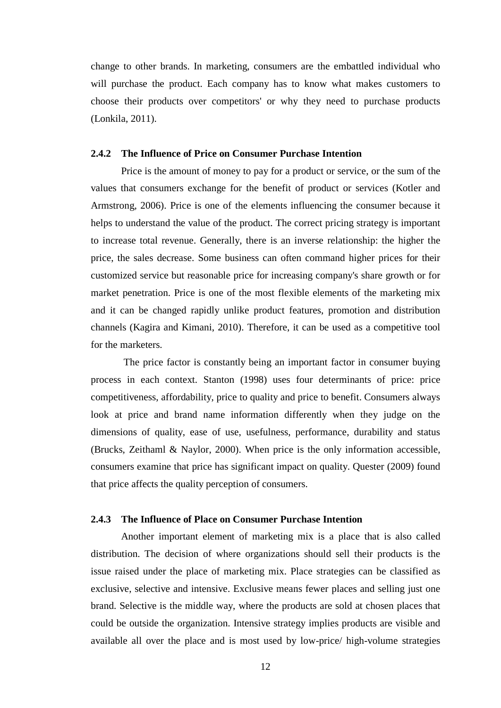change to other brands. In marketing, consumers are the embattled individual who will purchase the product. Each company has to know what makes customers to choose their products over competitors' or why they need to purchase products (Lonkila, 2011).

#### **2.4.2 The Influence of Price on Consumer Purchase Intention**

Price is the amount of money to pay for a product or service, or the sum of the values that consumers exchange for the benefit of product or services (Kotler and Armstrong, 2006). Price is one of the elements influencing the consumer because it helps to understand the value of the product. The correct pricing strategy is important to increase total revenue. Generally, there is an inverse relationship: the higher the price, the sales decrease. Some business can often command higher prices for their customized service but reasonable price for increasing company's share growth or for market penetration. Price is one of the most flexible elements of the marketing mix and it can be changed rapidly unlike product features, promotion and distribution channels (Kagira and Kimani, 2010). Therefore, it can be used as a competitive tool for the marketers.

The price factor is constantly being an important factor in consumer buying process in each context. Stanton (1998) uses four determinants of price: price competitiveness, affordability, price to quality and price to benefit. Consumers always look at price and brand name information differently when they judge on the dimensions of quality, ease of use, usefulness, performance, durability and status (Brucks, Zeithaml & Naylor, 2000). When price is the only information accessible, consumers examine that price has significant impact on quality. Quester (2009) found that price affects the quality perception of consumers.

### **2.4.3 The Influence of Place on Consumer Purchase Intention**

Another important element of marketing mix is a place that is also called distribution. The decision of where organizations should sell their products is the issue raised under the place of marketing mix. Place strategies can be classified as exclusive, selective and intensive. Exclusive means fewer places and selling just one brand. Selective is the middle way, where the products are sold at chosen places that could be outside the organization. Intensive strategy implies products are visible and available all over the place and is most used by low-price/ high-volume strategies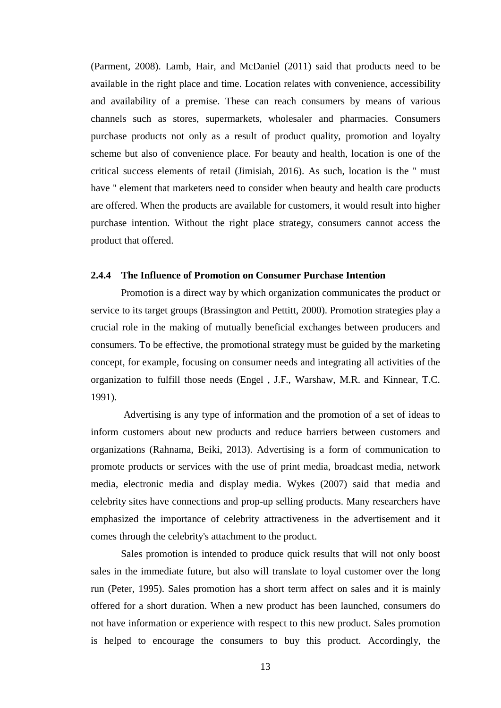(Parment, 2008). Lamb, Hair, and McDaniel (2011) said that products need to be available in the right place and time. Location relates with convenience, accessibility and availability of a premise. These can reach consumers by means of various channels such as stores, supermarkets, wholesaler and pharmacies. Consumers purchase products not only as a result of product quality, promotion and loyalty scheme but also of convenience place. For beauty and health, location is one of the critical success elements of retail (Jimisiah, 2016). As such, location is the '' must have '' element that marketers need to consider when beauty and health care products are offered. When the products are available for customers, it would result into higher purchase intention. Without the right place strategy, consumers cannot access the product that offered.

### **2.4.4 The Influence of Promotion on Consumer Purchase Intention**

Promotion is a direct way by which organization communicates the product or service to its target groups (Brassington and Pettitt, 2000). Promotion strategies play a crucial role in the making of mutually beneficial exchanges between producers and consumers. To be effective, the promotional strategy must be guided by the marketing concept, for example, focusing on consumer needs and integrating all activities of the organization to fulfill those needs (Engel , J.F., Warshaw, M.R. and Kinnear, T.C. 1991).

Advertising is any type of information and the promotion of a set of ideas to inform customers about new products and reduce barriers between customers and organizations (Rahnama, Beiki, 2013). Advertising is a form of communication to promote products or services with the use of print media, broadcast media, network media, electronic media and display media. Wykes (2007) said that media and celebrity sites have connections and prop-up selling products. Many researchers have emphasized the importance of celebrity attractiveness in the advertisement and it comes through the celebrity's attachment to the product.

Sales promotion is intended to produce quick results that will not only boost sales in the immediate future, but also will translate to loyal customer over the long run (Peter, 1995). Sales promotion has a short term affect on sales and it is mainly offered for a short duration. When a new product has been launched, consumers do not have information or experience with respect to this new product. Sales promotion is helped to encourage the consumers to buy this product. Accordingly, the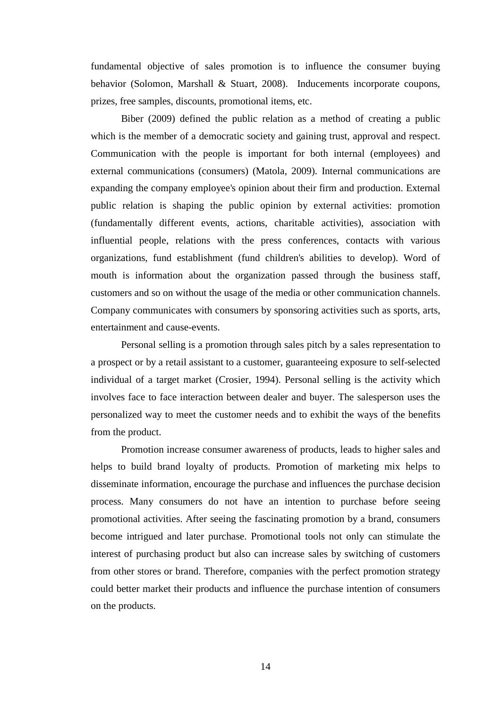fundamental objective of sales promotion is to influence the consumer buying behavior (Solomon, Marshall & Stuart, 2008). Inducements incorporate coupons, prizes, free samples, discounts, promotional items, etc.

Biber (2009) defined the public relation as a method of creating a public which is the member of a democratic society and gaining trust, approval and respect. Communication with the people is important for both internal (employees) and external communications (consumers) (Matola, 2009). Internal communications are expanding the company employee's opinion about their firm and production. External public relation is shaping the public opinion by external activities: promotion (fundamentally different events, actions, charitable activities), association with influential people, relations with the press conferences, contacts with various organizations, fund establishment (fund children's abilities to develop). Word of mouth is information about the organization passed through the business staff, customers and so on without the usage of the media or other communication channels. Company communicates with consumers by sponsoring activities such as sports, arts, entertainment and cause-events.

Personal selling is a promotion through sales pitch by a sales representation to a prospect or by a retail assistant to a customer, guaranteeing exposure to self-selected individual of a target market (Crosier, 1994). Personal selling is the activity which involves face to face interaction between dealer and buyer. The salesperson uses the personalized way to meet the customer needs and to exhibit the ways of the benefits from the product.

Promotion increase consumer awareness of products, leads to higher sales and helps to build brand loyalty of products. Promotion of marketing mix helps to disseminate information, encourage the purchase and influences the purchase decision process. Many consumers do not have an intention to purchase before seeing promotional activities. After seeing the fascinating promotion by a brand, consumers become intrigued and later purchase. Promotional tools not only can stimulate the interest of purchasing product but also can increase sales by switching of customers from other stores or brand. Therefore, companies with the perfect promotion strategy could better market their products and influence the purchase intention of consumers on the products.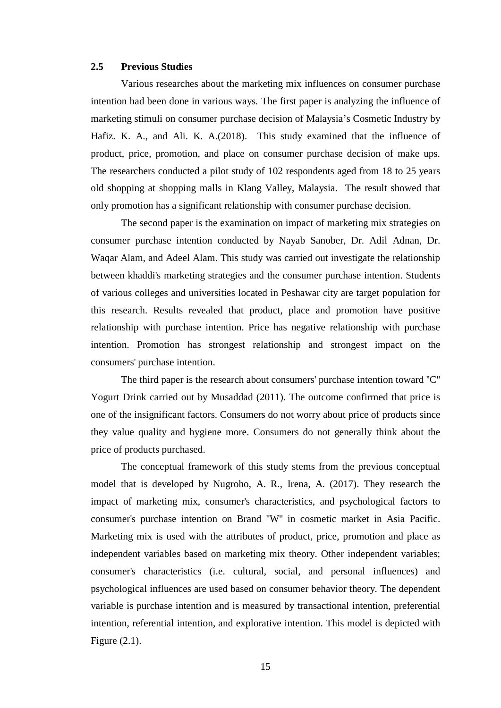### **2.5 Previous Studies**

Various researches about the marketing mix influences on consumer purchase intention had been done in various ways. The first paper is analyzing the influence of marketing stimuli on consumer purchase decision of Malaysia's Cosmetic Industry by Hafiz. K. A., and Ali. K. A.(2018). This study examined that the influence of product, price, promotion, and place on consumer purchase decision of make ups. The researchers conducted a pilot study of 102 respondents aged from 18 to 25 years old shopping at shopping malls in Klang Valley, Malaysia. The result showed that only promotion has a significant relationship with consumer purchase decision.

The second paper is the examination on impact of marketing mix strategies on consumer purchase intention conducted by Nayab Sanober, Dr. Adil Adnan, Dr. Waqar Alam, and Adeel Alam. This study was carried out investigate the relationship between khaddi's marketing strategies and the consumer purchase intention. Students of various colleges and universities located in Peshawar city are target population for this research. Results revealed that product, place and promotion have positive relationship with purchase intention. Price has negative relationship with purchase intention. Promotion has strongest relationship and strongest impact on the consumers' purchase intention.

The third paper is the research about consumers' purchase intention toward ''C'' Yogurt Drink carried out by Musaddad (2011). The outcome confirmed that price is one of the insignificant factors. Consumers do not worry about price of products since they value quality and hygiene more. Consumers do not generally think about the price of products purchased.

The conceptual framework of this study stems from the previous conceptual model that is developed by Nugroho, A. R., Irena, A. (2017). They research the impact of marketing mix, consumer's characteristics, and psychological factors to consumer's purchase intention on Brand ''W'' in cosmetic market in Asia Pacific. Marketing mix is used with the attributes of product, price, promotion and place as independent variables based on marketing mix theory. Other independent variables; consumer's characteristics (i.e. cultural, social, and personal influences) and psychological influences are used based on consumer behavior theory. The dependent variable is purchase intention and is measured by transactional intention, preferential intention, referential intention, and explorative intention. This model is depicted with Figure (2.1).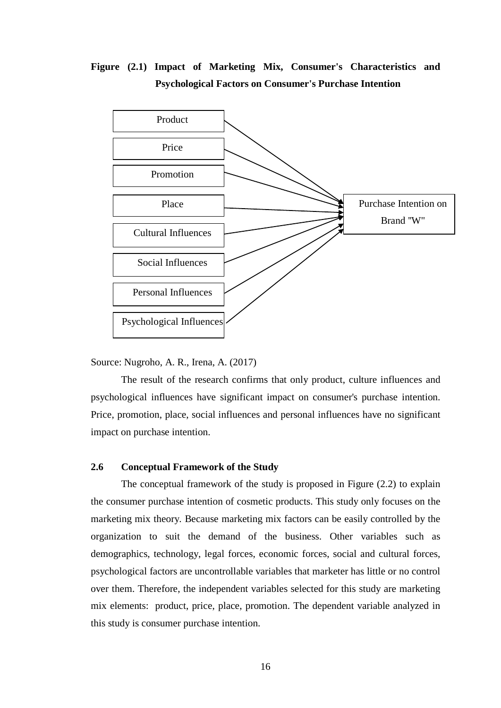### **Figure (2.1) Impact of Marketing Mix, Consumer's Characteristics and Psychological Factors on Consumer's Purchase Intention**



Source: Nugroho, A. R., Irena, A. (2017)

The result of the research confirms that only product, culture influences and psychological influences have significant impact on consumer's purchase intention. Price, promotion, place, social influences and personal influences have no significant impact on purchase intention.

### **2.6 Conceptual Framework of the Study**

The conceptual framework of the study is proposed in Figure (2.2) to explain the consumer purchase intention of cosmetic products. This study only focuses on the marketing mix theory. Because marketing mix factors can be easily controlled by the organization to suit the demand of the business. Other variables such as demographics, technology, legal forces, economic forces, social and cultural forces, psychological factors are uncontrollable variables that marketer has little or no control over them. Therefore, the independent variables selected for this study are marketing mix elements: product, price, place, promotion. The dependent variable analyzed in this study is consumer purchase intention.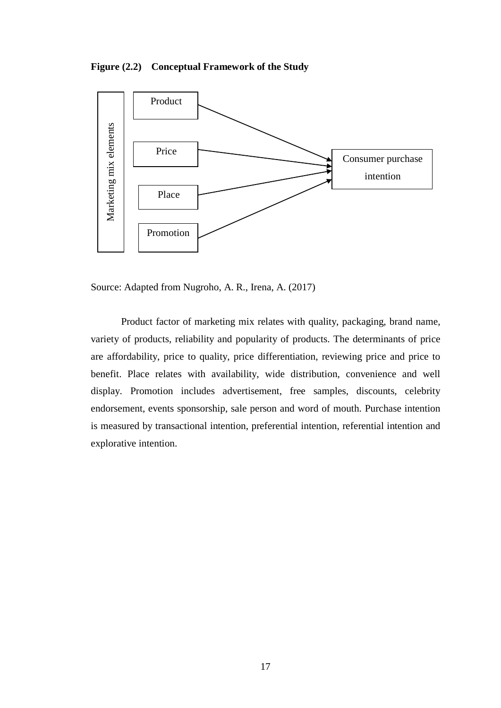**Figure (2.2) Conceptual Framework of the Study**



Source: Adapted from Nugroho, A. R., Irena, A. (2017)

Product factor of marketing mix relates with quality, packaging, brand name, variety of products, reliability and popularity of products. The determinants of price are affordability, price to quality, price differentiation, reviewing price and price to benefit. Place relates with availability, wide distribution, convenience and well display. Promotion includes advertisement, free samples, discounts, celebrity endorsement, events sponsorship, sale person and word of mouth. Purchase intention is measured by transactional intention, preferential intention, referential intention and explorative intention.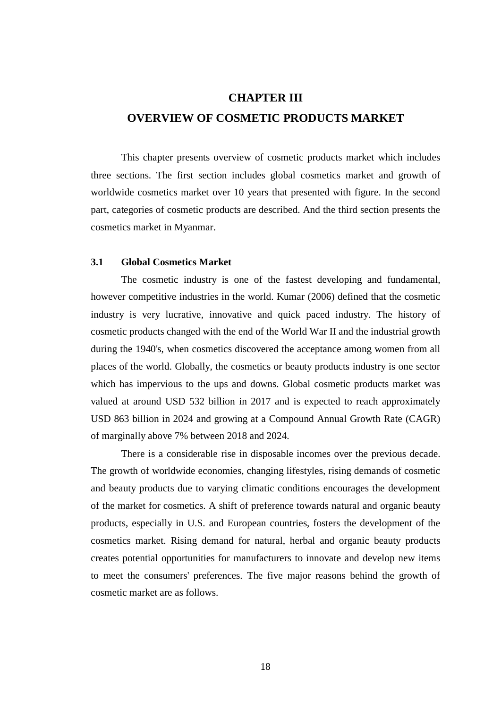## **CHAPTER III OVERVIEW OF COSMETIC PRODUCTS MARKET**

This chapter presents overview of cosmetic products market which includes three sections. The first section includes global cosmetics market and growth of worldwide cosmetics market over 10 years that presented with figure. In the second part, categories of cosmetic products are described. And the third section presents the cosmetics market in Myanmar.

### **3.1 Global Cosmetics Market**

The cosmetic industry is one of the fastest developing and fundamental, however competitive industries in the world. Kumar (2006) defined that the cosmetic industry is very lucrative, innovative and quick paced industry. The history of cosmetic products changed with the end of the World War II and the industrial growth during the 1940's, when cosmetics discovered the acceptance among women from all places of the world. Globally, the cosmetics or beauty products industry is one sector which has impervious to the ups and downs. Global cosmetic products market was valued at around USD 532 billion in 2017 and is expected to reach approximately USD 863 billion in 2024 and growing at a Compound Annual Growth Rate (CAGR) of marginally above 7% between 2018 and 2024.

There is a considerable rise in disposable incomes over the previous decade. The growth of worldwide economies, changing lifestyles, rising demands of cosmetic and beauty products due to varying climatic conditions encourages the development of the market for cosmetics. A shift of preference towards natural and organic beauty products, especially in U.S. and European countries, fosters the development of the cosmetics market. Rising demand for natural, herbal and organic beauty products creates potential opportunities for manufacturers to innovate and develop new items to meet the consumers' preferences. The five major reasons behind the growth of cosmetic market are as follows.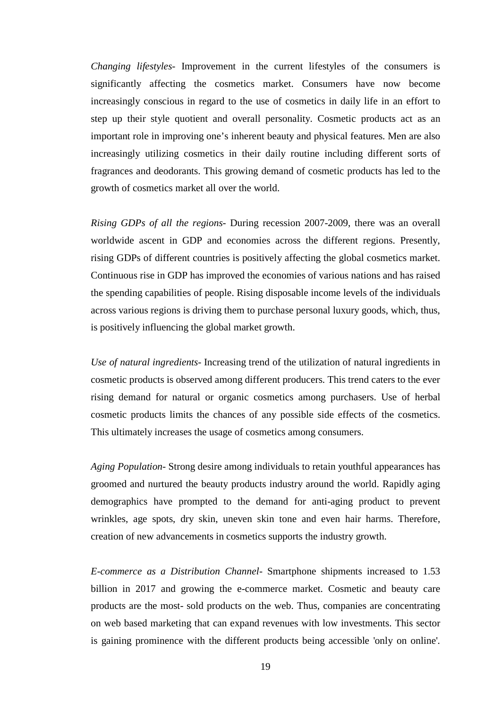*Changing lifestyles-* Improvement in the current lifestyles of the consumers is significantly affecting the cosmetics market. Consumers have now become increasingly conscious in regard to the use of cosmetics in daily life in an effort to step up their style quotient and overall personality. Cosmetic products act as an important role in improving one's inherent beauty and physical features. Men are also increasingly utilizing cosmetics in their daily routine including different sorts of fragrances and deodorants. This growing demand of cosmetic products has led to the growth of cosmetics market all over the world.

*Rising GDPs of all the regions-* During recession 2007-2009, there was an overall worldwide ascent in GDP and economies across the different regions. Presently, rising GDPs of different countries is positively affecting the global cosmetics market. Continuous rise in GDP has improved the economies of various nations and has raised the spending capabilities of people. Rising disposable income levels of the individuals across various regions is driving them to purchase personal luxury goods, which, thus, is positively influencing the global market growth.

*Use of natural ingredients-* Increasing trend of the utilization of natural ingredients in cosmetic products is observed among different producers. This trend caters to the ever rising demand for natural or organic cosmetics among purchasers. Use of herbal cosmetic products limits the chances of any possible side effects of the cosmetics. This ultimately increases the usage of cosmetics among consumers.

*Aging Population-* Strong desire among individuals to retain youthful appearances has groomed and nurtured the beauty products industry around the world. Rapidly aging demographics have prompted to the demand for anti-aging product to prevent wrinkles, age spots, dry skin, uneven skin tone and even hair harms. Therefore, creation of new advancements in cosmetics supports the industry growth.

*E-commerce as a Distribution Channel-* Smartphone shipments increased to 1.53 billion in 2017 and growing the e-commerce market. Cosmetic and beauty care products are the most- sold products on the web. Thus, companies are concentrating on web based marketing that can expand revenues with low investments. This sector is gaining prominence with the different products being accessible 'only on online'.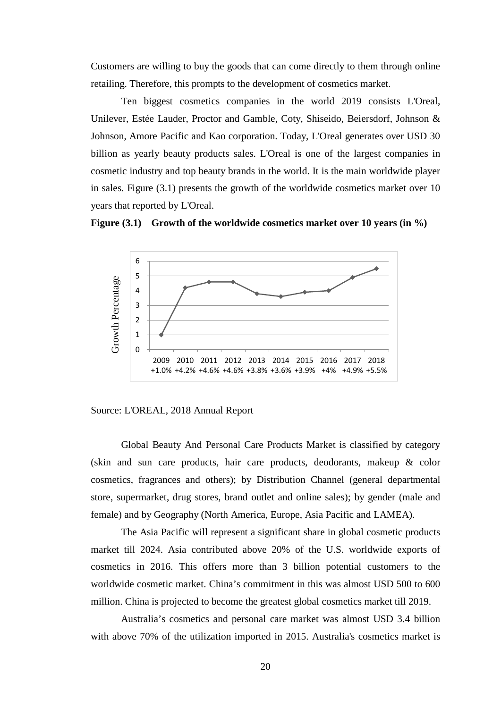Customers are willing to buy the goods that can come directly to them through online retailing. Therefore, this prompts to the development of cosmetics market.

Ten biggest cosmetics companies in the world 2019 consists L'Oreal, Unilever, Estée Lauder, Proctor and Gamble, Coty, Shiseido, Beiersdorf, Johnson & Johnson, Amore Pacific and Kao corporation. Today, L'Oreal generates over USD 30 billion as yearly beauty products sales. L'Oreal is one of the largest companies in cosmetic industry and top beauty brands in the world. It is the main worldwide player in sales. Figure (3.1) presents the growth of the worldwide cosmetics market over 10 years that reported by L'Oreal.





Source: L'OREAL, 2018 Annual Report

Global Beauty And Personal Care Products Market is classified by category (skin and sun care products, hair care products, deodorants, makeup & color cosmetics, fragrances and others); by Distribution Channel (general departmental store, supermarket, drug stores, brand outlet and online sales); by gender (male and female) and by Geography (North America, Europe, Asia Pacific and LAMEA).

The Asia Pacific will represent a significant share in global cosmetic products market till 2024. Asia contributed above 20% of the U.S. worldwide exports of cosmetics in 2016. This offers more than 3 billion potential customers to the worldwide cosmetic market. China's commitment in this was almost USD 500 to 600 million. China is projected to become the greatest global cosmetics market till 2019.

Australia's cosmetics and personal care market was almost USD 3.4 billion with above 70% of the utilization imported in 2015. Australia's cosmetics market is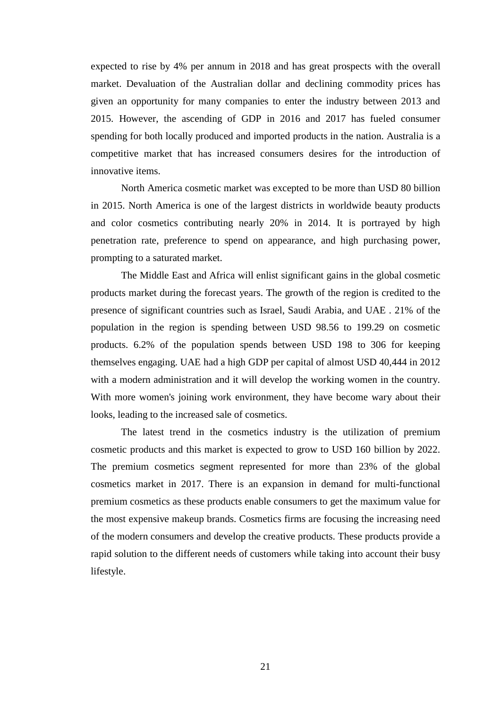expected to rise by 4% per annum in 2018 and has great prospects with the overall market. Devaluation of the Australian dollar and declining commodity prices has given an opportunity for many companies to enter the industry between 2013 and 2015. However, the ascending of GDP in 2016 and 2017 has fueled consumer spending for both locally produced and imported products in the nation. Australia is a competitive market that has increased consumers desires for the introduction of innovative items.

North America cosmetic market was excepted to be more than USD 80 billion in 2015. North America is one of the largest districts in worldwide beauty products and color cosmetics contributing nearly 20% in 2014. It is portrayed by high penetration rate, preference to spend on appearance, and high purchasing power, prompting to a saturated market.

The Middle East and Africa will enlist significant gains in the global cosmetic products market during the forecast years. The growth of the region is credited to the presence of significant countries such as Israel, Saudi Arabia, and UAE . 21% of the population in the region is spending between USD 98.56 to 199.29 on cosmetic products. 6.2% of the population spends between USD 198 to 306 for keeping themselves engaging. UAE had a high GDP per capital of almost USD 40,444 in 2012 with a modern administration and it will develop the working women in the country. With more women's joining work environment, they have become wary about their looks, leading to the increased sale of cosmetics.

The latest trend in the cosmetics industry is the utilization of premium cosmetic products and this market is expected to grow to USD 160 billion by 2022. The premium cosmetics segment represented for more than 23% of the global cosmetics market in 2017. There is an expansion in demand for multi-functional premium cosmetics as these products enable consumers to get the maximum value for the most expensive makeup brands. Cosmetics firms are focusing the increasing need of the modern consumers and develop the creative products. These products provide a rapid solution to the different needs of customers while taking into account their busy lifestyle.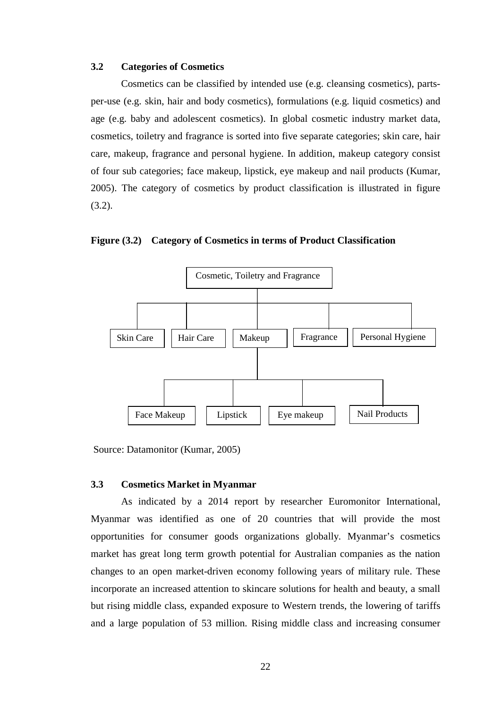#### **3.2 Categories of Cosmetics**

Cosmetics can be classified by intended use (e.g. cleansing cosmetics), partsper-use (e.g. skin, hair and body cosmetics), formulations (e.g. liquid cosmetics) and age (e.g. baby and adolescent cosmetics). In global cosmetic industry market data, cosmetics, toiletry and fragrance is sorted into five separate categories; skin care, hair care, makeup, fragrance and personal hygiene. In addition, makeup category consist of four sub categories; face makeup, lipstick, eye makeup and nail products (Kumar, 2005). The category of cosmetics by product classification is illustrated in figure (3.2).

**Figure (3.2) Category of Cosmetics in terms of Product Classification** 



Source: Datamonitor (Kumar, 2005)

### **3.3 Cosmetics Market in Myanmar**

As indicated by a 2014 report by researcher Euromonitor International, Myanmar was identified as one of 20 countries that will provide the most opportunities for consumer goods organizations globally. Myanmar's cosmetics market has great long term growth potential for Australian companies as the nation changes to an open market-driven economy following years of military rule. These incorporate an increased attention to skincare solutions for health and beauty, a small but rising middle class, expanded exposure to Western trends, the lowering of tariffs and a large population of 53 million. Rising middle class and increasing consumer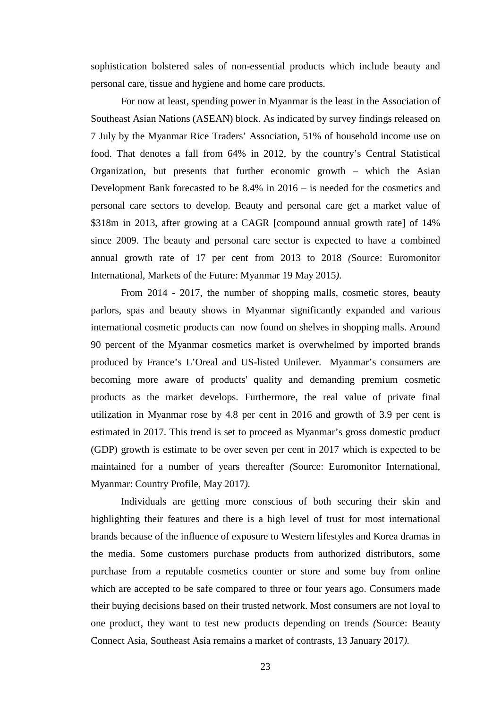sophistication bolstered sales of non-essential products which include beauty and personal care, tissue and hygiene and home care products.

For now at least, spending power in Myanmar is the least in the Association of Southeast Asian Nations (ASEAN) block. As indicated by survey findings released on 7 July by the Myanmar Rice Traders' Association, 51% of household income use on food. That denotes a fall from 64% in 2012, by the country's Central Statistical Organization, but presents that further economic growth – which the Asian Development Bank forecasted to be 8.4% in 2016 – is needed for the cosmetics and personal care sectors to develop. Beauty and personal care get a market value of \$318m in 2013, after growing at a CAGR [compound annual growth rate] of 14% since 2009. The beauty and personal care sector is expected to have a combined annual growth rate of 17 per cent from 2013 to 2018 *(*Source: Euromonitor International, Markets of the Future: Myanmar 19 May 2015*).* 

From 2014 - 2017, the number of shopping malls, cosmetic stores, beauty parlors, spas and beauty shows in Myanmar significantly expanded and various international cosmetic products can now found on shelves in shopping malls. Around 90 percent of the Myanmar cosmetics market is overwhelmed by imported brands produced by France's L'Oreal and US-listed Unilever. Myanmar's consumers are becoming more aware of products' quality and demanding premium cosmetic products as the market develops. Furthermore, the real value of private final utilization in Myanmar rose by 4.8 per cent in 2016 and growth of 3.9 per cent is estimated in 2017. This trend is set to proceed as Myanmar's gross domestic product (GDP) growth is estimate to be over seven per cent in 2017 which is expected to be maintained for a number of years thereafter *(*Source: Euromonitor International, Myanmar: Country Profile, May 2017*).*

Individuals are getting more conscious of both securing their skin and highlighting their features and there is a high level of trust for most international brands because of the influence of exposure to Western lifestyles and Korea dramas in the media. Some customers purchase products from authorized distributors, some purchase from a reputable cosmetics counter or store and some buy from online which are accepted to be safe compared to three or four years ago. Consumers made their buying decisions based on their trusted network. Most consumers are not loyal to one product, they want to test new products depending on trends *(*Source: Beauty Connect Asia, Southeast Asia remains a market of contrasts, 13 January 2017*).*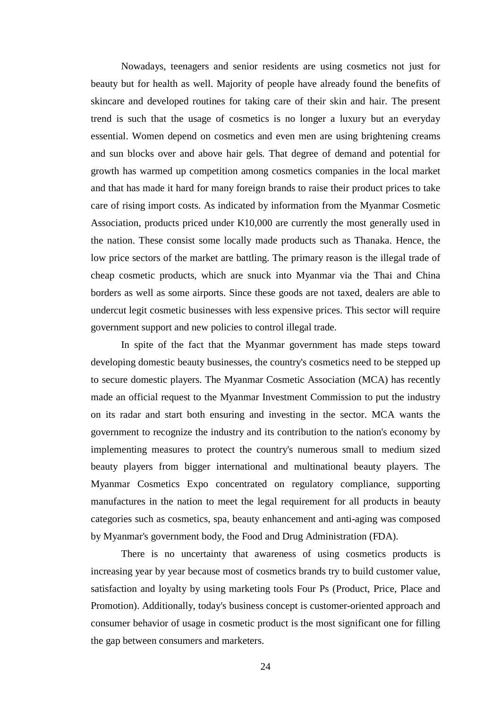Nowadays, teenagers and senior residents are using cosmetics not just for beauty but for health as well. Majority of people have already found the benefits of skincare and developed routines for taking care of their skin and hair. The present trend is such that the usage of cosmetics is no longer a luxury but an everyday essential. Women depend on cosmetics and even men are using brightening creams and sun blocks over and above hair gels. That degree of demand and potential for growth has warmed up competition among cosmetics companies in the local market and that has made it hard for many foreign brands to raise their product prices to take care of rising import costs. As indicated by information from the Myanmar Cosmetic Association, products priced under K10,000 are currently the most generally used in the nation. These consist some locally made products such as Thanaka. Hence, the low price sectors of the market are battling. The primary reason is the illegal trade of cheap cosmetic products, which are snuck into Myanmar via the Thai and China borders as well as some airports. Since these goods are not taxed, dealers are able to undercut legit cosmetic businesses with less expensive prices. This sector will require government support and new policies to control illegal trade.

In spite of the fact that the Myanmar government has made steps toward developing domestic beauty businesses, the country's cosmetics need to be stepped up to secure domestic players. The Myanmar Cosmetic Association (MCA) has recently made an official request to the Myanmar Investment Commission to put the industry on its radar and start both ensuring and investing in the sector. MCA wants the government to recognize the industry and its contribution to the nation's economy by implementing measures to protect the country's numerous small to medium sized beauty players from bigger international and multinational beauty players. The Myanmar Cosmetics Expo concentrated on regulatory compliance, supporting manufactures in the nation to meet the legal requirement for all products in beauty categories such as cosmetics, spa, beauty enhancement and anti-aging was composed by Myanmar's government body, the Food and Drug Administration (FDA).

There is no uncertainty that awareness of using cosmetics products is increasing year by year because most of cosmetics brands try to build customer value, satisfaction and loyalty by using marketing tools Four Ps (Product, Price, Place and Promotion). Additionally, today's business concept is customer-oriented approach and consumer behavior of usage in cosmetic product is the most significant one for filling the gap between consumers and marketers.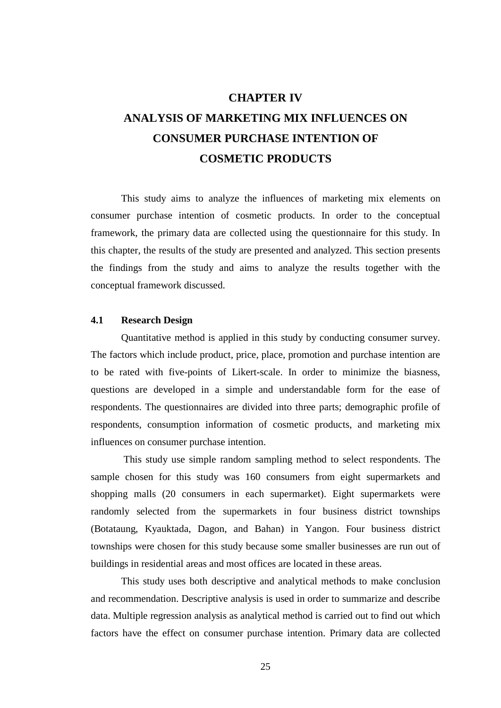### **CHAPTER IV**

## **ANALYSIS OF MARKETING MIX INFLUENCES ON CONSUMER PURCHASE INTENTION OF COSMETIC PRODUCTS**

This study aims to analyze the influences of marketing mix elements on consumer purchase intention of cosmetic products. In order to the conceptual framework, the primary data are collected using the questionnaire for this study. In this chapter, the results of the study are presented and analyzed. This section presents the findings from the study and aims to analyze the results together with the conceptual framework discussed.

### **4.1 Research Design**

Quantitative method is applied in this study by conducting consumer survey. The factors which include product, price, place, promotion and purchase intention are to be rated with five-points of Likert-scale. In order to minimize the biasness, questions are developed in a simple and understandable form for the ease of respondents. The questionnaires are divided into three parts; demographic profile of respondents, consumption information of cosmetic products, and marketing mix influences on consumer purchase intention.

This study use simple random sampling method to select respondents. The sample chosen for this study was 160 consumers from eight supermarkets and shopping malls (20 consumers in each supermarket). Eight supermarkets were randomly selected from the supermarkets in four business district townships (Botataung, Kyauktada, Dagon, and Bahan) in Yangon. Four business district townships were chosen for this study because some smaller businesses are run out of buildings in residential areas and most offices are located in these areas.

This study uses both descriptive and analytical methods to make conclusion and recommendation. Descriptive analysis is used in order to summarize and describe data. Multiple regression analysis as analytical method is carried out to find out which factors have the effect on consumer purchase intention. Primary data are collected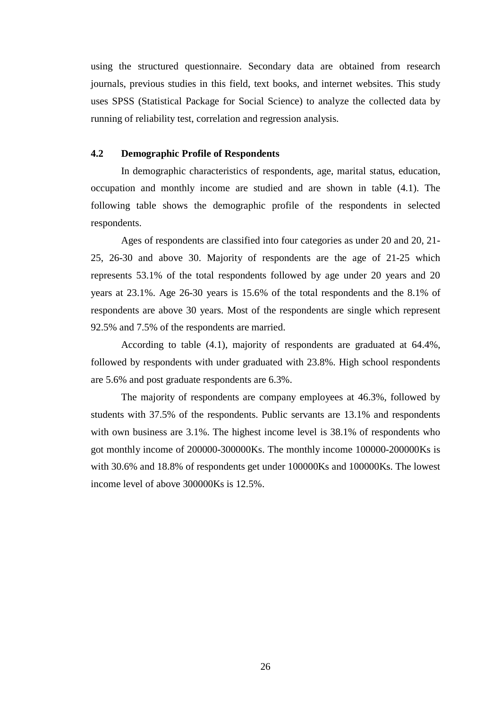using the structured questionnaire. Secondary data are obtained from research journals, previous studies in this field, text books, and internet websites. This study uses SPSS (Statistical Package for Social Science) to analyze the collected data by running of reliability test, correlation and regression analysis.

### **4.2 Demographic Profile of Respondents**

In demographic characteristics of respondents, age, marital status, education, occupation and monthly income are studied and are shown in table (4.1). The following table shows the demographic profile of the respondents in selected respondents.

Ages of respondents are classified into four categories as under 20 and 20, 21- 25, 26-30 and above 30. Majority of respondents are the age of 21-25 which represents 53.1% of the total respondents followed by age under 20 years and 20 years at 23.1%. Age 26-30 years is 15.6% of the total respondents and the 8.1% of respondents are above 30 years. Most of the respondents are single which represent 92.5% and 7.5% of the respondents are married.

According to table (4.1), majority of respondents are graduated at 64.4%, followed by respondents with under graduated with 23.8%. High school respondents are 5.6% and post graduate respondents are 6.3%.

The majority of respondents are company employees at 46.3%, followed by students with 37.5% of the respondents. Public servants are 13.1% and respondents with own business are 3.1%. The highest income level is  $38.1\%$  of respondents who got monthly income of 200000-300000Ks. The monthly income 100000-200000Ks is with 30.6% and 18.8% of respondents get under 100000Ks and 100000Ks. The lowest income level of above 300000Ks is 12.5%.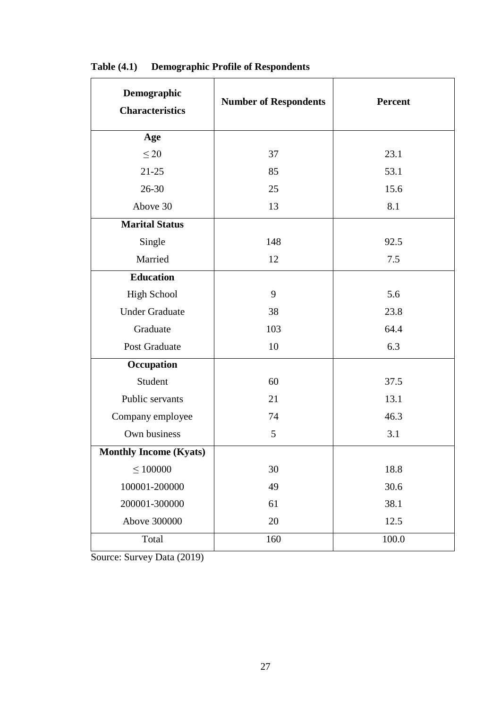| Demographic<br><b>Characteristics</b> | <b>Number of Respondents</b> | <b>Percent</b> |
|---------------------------------------|------------------------------|----------------|
| Age                                   |                              |                |
| $\leq 20$                             | 37                           | 23.1           |
| $21 - 25$                             | 85                           | 53.1           |
| $26 - 30$                             | 25                           | 15.6           |
| Above 30                              | 13                           | 8.1            |
| <b>Marital Status</b>                 |                              |                |
| Single                                | 148                          | 92.5           |
| Married                               | 12                           | 7.5            |
| <b>Education</b>                      |                              |                |
| High School                           | 9                            | 5.6            |
| <b>Under Graduate</b>                 | 38                           | 23.8           |
| Graduate                              | 103                          | 64.4           |
| Post Graduate                         | 10                           | 6.3            |
| Occupation                            |                              |                |
| Student                               | 60                           | 37.5           |
| Public servants                       | 21                           | 13.1           |
| Company employee                      | 74                           | 46.3           |
| Own business                          | 5                            | 3.1            |
| <b>Monthly Income (Kyats)</b>         |                              |                |
| $\leq 100000$                         | 30                           | 18.8           |
| 100001-200000                         | 49                           | 30.6           |
| 200001-300000                         | 61                           | 38.1           |
| Above 300000                          | 20                           | 12.5           |
| Total                                 | 160                          | 100.0          |

**Table (4.1) Demographic Profile of Respondents**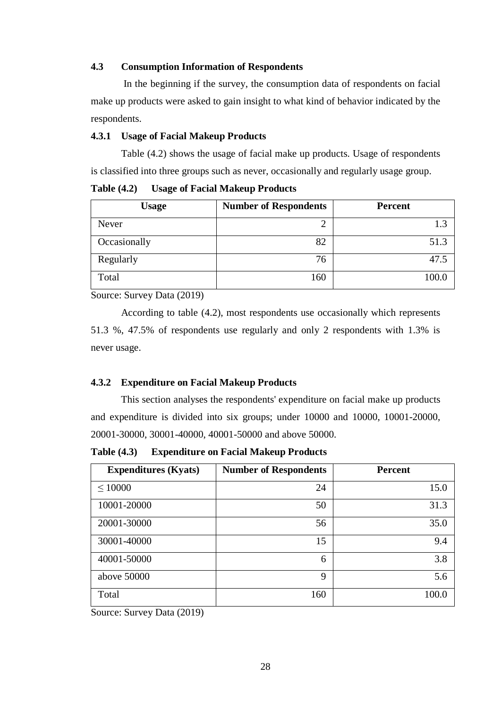### **4.3 Consumption Information of Respondents**

In the beginning if the survey, the consumption data of respondents on facial make up products were asked to gain insight to what kind of behavior indicated by the respondents.

### **4.3.1 Usage of Facial Makeup Products**

Table (4.2) shows the usage of facial make up products. Usage of respondents is classified into three groups such as never, occasionally and regularly usage group.

**Table (4.2) Usage of Facial Makeup Products**

| <b>Usage</b> | <b>Number of Respondents</b> | <b>Percent</b> |
|--------------|------------------------------|----------------|
| Never        |                              | 1.3            |
| Occasionally | 82                           | 51.3           |
| Regularly    | 76                           | 47.5           |
| Total        | 160                          | 100.0          |

Source: Survey Data (2019)

According to table (4.2), most respondents use occasionally which represents 51.3 %, 47.5% of respondents use regularly and only 2 respondents with 1.3% is never usage.

### **4.3.2 Expenditure on Facial Makeup Products**

This section analyses the respondents' expenditure on facial make up products and expenditure is divided into six groups; under 10000 and 10000, 10001-20000, 20001-30000, 30001-40000, 40001-50000 and above 50000.

**Table (4.3) Expenditure on Facial Makeup Products**

| <b>Expenditures (Kyats)</b> | <b>Number of Respondents</b> | <b>Percent</b> |
|-----------------------------|------------------------------|----------------|
| $\leq 10000$                | 24                           | 15.0           |
| 10001-20000                 | 50                           | 31.3           |
| 20001-30000                 | 56                           | 35.0           |
| 30001-40000                 | 15                           | 9.4            |
| 40001-50000                 | 6                            | 3.8            |
| above 50000                 | 9                            | 5.6            |
| Total                       | 160                          | 100.0          |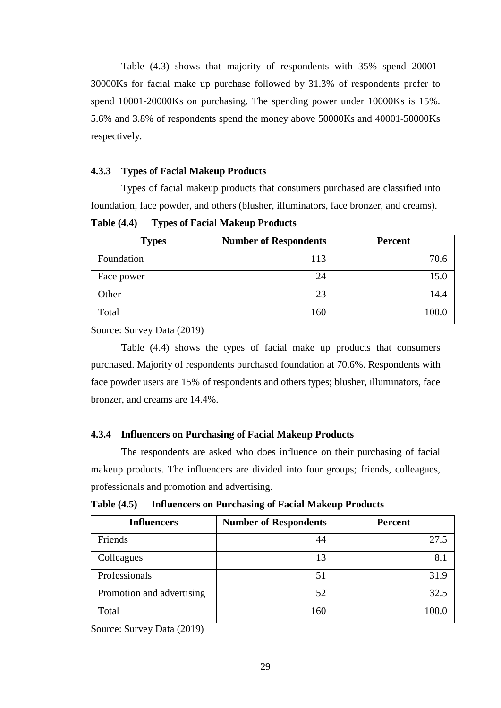Table (4.3) shows that majority of respondents with 35% spend 20001- 30000Ks for facial make up purchase followed by 31.3% of respondents prefer to spend 10001-20000Ks on purchasing. The spending power under 10000Ks is 15%. 5.6% and 3.8% of respondents spend the money above 50000Ks and 40001-50000Ks respectively.

### **4.3.3 Types of Facial Makeup Products**

Types of facial makeup products that consumers purchased are classified into foundation, face powder, and others (blusher, illuminators, face bronzer, and creams).

**Table (4.4) Types of Facial Makeup Products**

| <b>Types</b> | <b>Number of Respondents</b> | <b>Percent</b> |
|--------------|------------------------------|----------------|
| Foundation   | 113                          | 70.6           |
| Face power   | 24                           |                |
| Other        | 23                           |                |
| Total        | 160                          |                |

Source: Survey Data (2019)

Table (4.4) shows the types of facial make up products that consumers purchased. Majority of respondents purchased foundation at 70.6%. Respondents with face powder users are 15% of respondents and others types; blusher, illuminators, face bronzer, and creams are 14.4%.

#### **4.3.4 Influencers on Purchasing of Facial Makeup Products**

The respondents are asked who does influence on their purchasing of facial makeup products. The influencers are divided into four groups; friends, colleagues, professionals and promotion and advertising.

**Table (4.5) Influencers on Purchasing of Facial Makeup Products**

| <b>Influencers</b>        | <b>Number of Respondents</b> | <b>Percent</b> |
|---------------------------|------------------------------|----------------|
| Friends                   | 44                           | 27.5           |
| Colleagues                | 13                           | 8.1            |
| Professionals             | 51                           | 31.9           |
| Promotion and advertising | 52                           | 32.5           |
| Total                     | 160                          | 100.0          |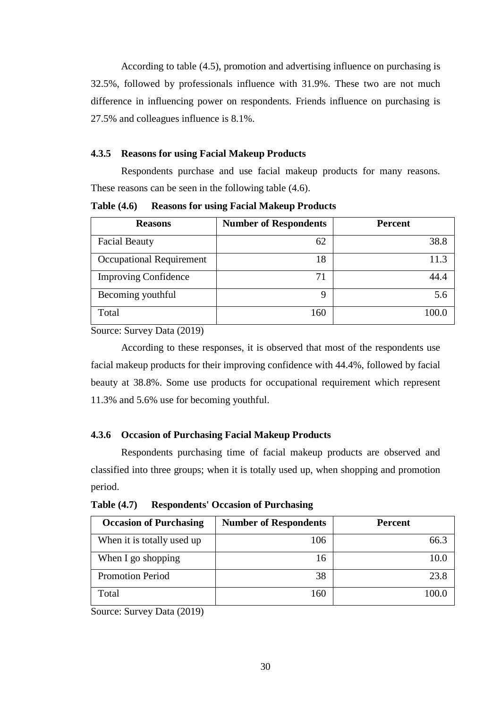According to table (4.5), promotion and advertising influence on purchasing is 32.5%, followed by professionals influence with 31.9%. These two are not much difference in influencing power on respondents. Friends influence on purchasing is 27.5% and colleagues influence is 8.1%.

### **4.3.5 Reasons for using Facial Makeup Products**

Respondents purchase and use facial makeup products for many reasons. These reasons can be seen in the following table (4.6).

**Table (4.6) Reasons for using Facial Makeup Products**

| <b>Reasons</b>              | <b>Number of Respondents</b> | <b>Percent</b> |
|-----------------------------|------------------------------|----------------|
| <b>Facial Beauty</b>        | 62                           | 38.8           |
| Occupational Requirement    | 18                           | 11.3           |
| <b>Improving Confidence</b> | 71                           | 44.4           |
| Becoming youthful           | 9                            | 5.6            |
| Total                       | 160                          | 100.0          |

Source: Survey Data (2019)

According to these responses, it is observed that most of the respondents use facial makeup products for their improving confidence with 44.4%, followed by facial beauty at 38.8%. Some use products for occupational requirement which represent 11.3% and 5.6% use for becoming youthful.

### **4.3.6 Occasion of Purchasing Facial Makeup Products**

Respondents purchasing time of facial makeup products are observed and classified into three groups; when it is totally used up, when shopping and promotion period.

**Table (4.7) Respondents' Occasion of Purchasing**

| <b>Occasion of Purchasing</b> | <b>Number of Respondents</b> | <b>Percent</b> |
|-------------------------------|------------------------------|----------------|
| When it is totally used up    | 106                          | 66.3           |
| When I go shopping            | 16                           | 10.0           |
| <b>Promotion Period</b>       | 38                           | 23.8           |
| Total                         | 160                          | 100.0          |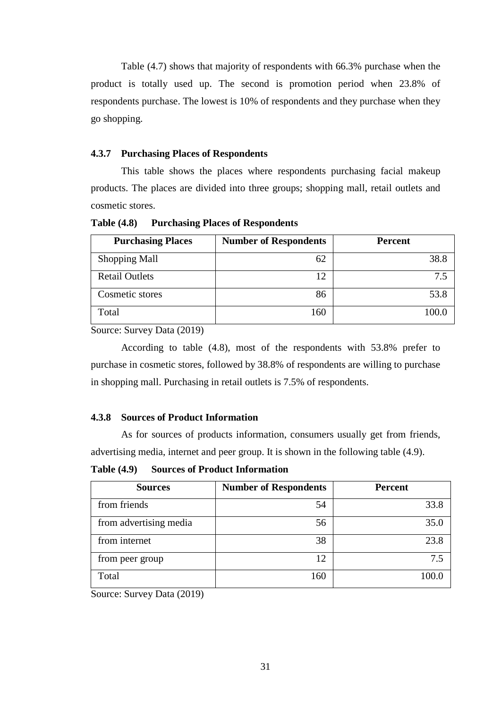Table (4.7) shows that majority of respondents with 66.3% purchase when the product is totally used up. The second is promotion period when 23.8% of respondents purchase. The lowest is 10% of respondents and they purchase when they go shopping.

### **4.3.7 Purchasing Places of Respondents**

This table shows the places where respondents purchasing facial makeup products. The places are divided into three groups; shopping mall, retail outlets and cosmetic stores.

**Table (4.8) Purchasing Places of Respondents**

| <b>Purchasing Places</b> | <b>Number of Respondents</b> | <b>Percent</b> |
|--------------------------|------------------------------|----------------|
| <b>Shopping Mall</b>     | 62                           | 38.8           |
| <b>Retail Outlets</b>    | 12                           | 75             |
| Cosmetic stores          | 86                           | 53.8           |
| Total                    | 160                          |                |

Source: Survey Data (2019)

According to table (4.8), most of the respondents with 53.8% prefer to purchase in cosmetic stores, followed by 38.8% of respondents are willing to purchase in shopping mall. Purchasing in retail outlets is 7.5% of respondents.

#### **4.3.8 Sources of Product Information**

As for sources of products information, consumers usually get from friends, advertising media, internet and peer group. It is shown in the following table (4.9).

**Table (4.9) Sources of Product Information**

| <b>Sources</b>         | <b>Number of Respondents</b> | <b>Percent</b> |
|------------------------|------------------------------|----------------|
| from friends           | 54                           | 33.8           |
| from advertising media | 56                           | 35.0           |
| from internet          | 38                           | 23.8           |
| from peer group        | 12                           | 7.5            |
| Total                  | 160                          | 100.0          |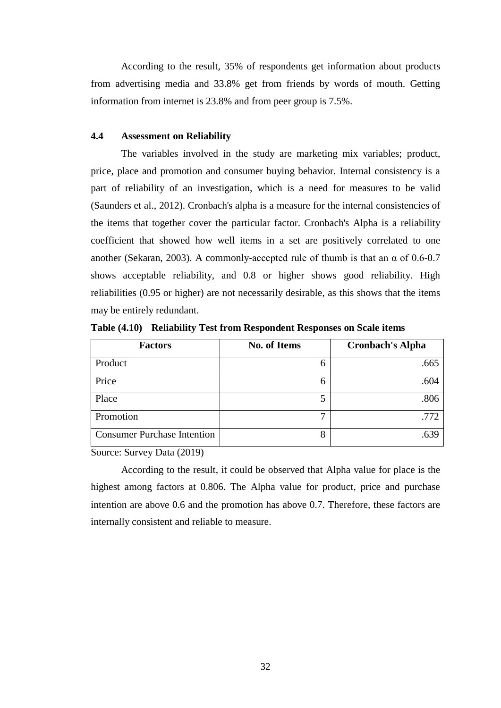According to the result, 35% of respondents get information about products from advertising media and 33.8% get from friends by words of mouth. Getting information from internet is 23.8% and from peer group is 7.5%.

### **4.4 Assessment on Reliability**

The variables involved in the study are marketing mix variables; product, price, place and promotion and consumer buying behavior. Internal consistency is a part of reliability of an investigation, which is a need for measures to be valid (Saunders et al., 2012). Cronbach's alpha is a measure for the internal consistencies of the items that together cover the particular factor. Cronbach's Alpha is a reliability coefficient that showed how well items in a set are positively correlated to one another (Sekaran, 2003). A commonly-accepted rule of thumb is that an  $\alpha$  of 0.6-0.7 shows acceptable reliability, and 0.8 or higher shows good reliability. High reliabilities (0.95 or higher) are not necessarily desirable, as this shows that the items may be entirely redundant.

| <b>Factors</b>                     | No. of Items | <b>Cronbach's Alpha</b> |
|------------------------------------|--------------|-------------------------|
| Product                            |              | .665                    |
| Price                              | h            | .604                    |
| Place                              |              | .806                    |
| Promotion                          | −            | .772                    |
| <b>Consumer Purchase Intention</b> | 8            | .639                    |

**Table (4.10) Reliability Test from Respondent Responses on Scale items**

Source: Survey Data (2019)

According to the result, it could be observed that Alpha value for place is the highest among factors at 0.806. The Alpha value for product, price and purchase intention are above 0.6 and the promotion has above 0.7. Therefore, these factors are internally consistent and reliable to measure.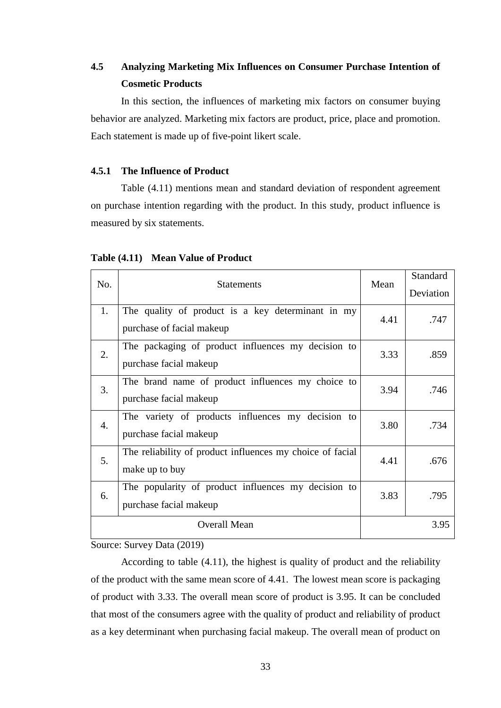### **4.5 Analyzing Marketing Mix Influences on Consumer Purchase Intention of Cosmetic Products**

In this section, the influences of marketing mix factors on consumer buying behavior are analyzed. Marketing mix factors are product, price, place and promotion. Each statement is made up of five-point likert scale.

### **4.5.1 The Influence of Product**

Table (4.11) mentions mean and standard deviation of respondent agreement on purchase intention regarding with the product. In this study, product influence is measured by six statements.

| No. |                        | <b>Statements</b>                                         | Mean | Standard  |
|-----|------------------------|-----------------------------------------------------------|------|-----------|
|     |                        |                                                           |      | Deviation |
|     | 1.                     | The quality of product is a key determinant in my         | 4.41 | .747      |
|     |                        | purchase of facial makeup                                 |      |           |
|     | 2.                     | The packaging of product influences my decision to        | 3.33 | .859      |
|     |                        | purchase facial makeup                                    |      |           |
|     | 3.                     | The brand name of product influences my choice to         | 3.94 | .746      |
|     |                        | purchase facial makeup                                    |      |           |
|     | 4.                     | The variety of products influences my decision to         | 3.80 | .734      |
|     | purchase facial makeup |                                                           |      |           |
|     | 5.                     | The reliability of product influences my choice of facial | 4.41 | .676      |
|     |                        | make up to buy                                            |      |           |
|     | 6.                     | The popularity of product influences my decision to       | 3.83 | .795      |
|     |                        | purchase facial makeup                                    |      |           |
|     |                        | <b>Overall Mean</b>                                       |      | 3.95      |
|     |                        |                                                           |      |           |

### **Table (4.11) Mean Value of Product**

Source: Survey Data (2019)

According to table (4.11), the highest is quality of product and the reliability of the product with the same mean score of 4.41. The lowest mean score is packaging of product with 3.33. The overall mean score of product is 3.95. It can be concluded that most of the consumers agree with the quality of product and reliability of product as a key determinant when purchasing facial makeup. The overall mean of product on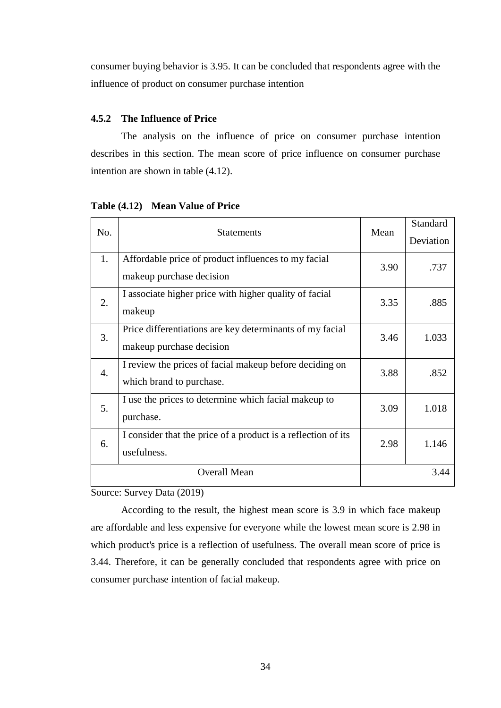consumer buying behavior is 3.95. It can be concluded that respondents agree with the influence of product on consumer purchase intention

### **4.5.2 The Influence of Price**

The analysis on the influence of price on consumer purchase intention describes in this section. The mean score of price influence on consumer purchase intention are shown in table (4.12).

| No.              | <b>Statements</b>                                             | Mean | Standard  |
|------------------|---------------------------------------------------------------|------|-----------|
|                  |                                                               |      | Deviation |
| 1.               | Affordable price of product influences to my facial           | 3.90 | .737      |
|                  | makeup purchase decision                                      |      |           |
| 2.               | I associate higher price with higher quality of facial        | 3.35 | .885      |
|                  | makeup                                                        |      |           |
| 3.               | Price differentiations are key determinants of my facial      | 3.46 | 1.033     |
|                  | makeup purchase decision                                      |      |           |
| $\overline{4}$ . | I review the prices of facial makeup before deciding on       | 3.88 | .852      |
|                  | which brand to purchase.                                      |      |           |
| 5.               | I use the prices to determine which facial makeup to          | 3.09 | 1.018     |
|                  | purchase.                                                     |      |           |
| 6.               | I consider that the price of a product is a reflection of its | 2.98 | 1.146     |
|                  | usefulness.                                                   |      |           |
|                  | <b>Overall Mean</b>                                           |      | 3.44      |
|                  |                                                               |      |           |

**Table (4.12) Mean Value of Price** 

Source: Survey Data (2019)

According to the result, the highest mean score is 3.9 in which face makeup are affordable and less expensive for everyone while the lowest mean score is 2.98 in which product's price is a reflection of usefulness. The overall mean score of price is 3.44. Therefore, it can be generally concluded that respondents agree with price on consumer purchase intention of facial makeup.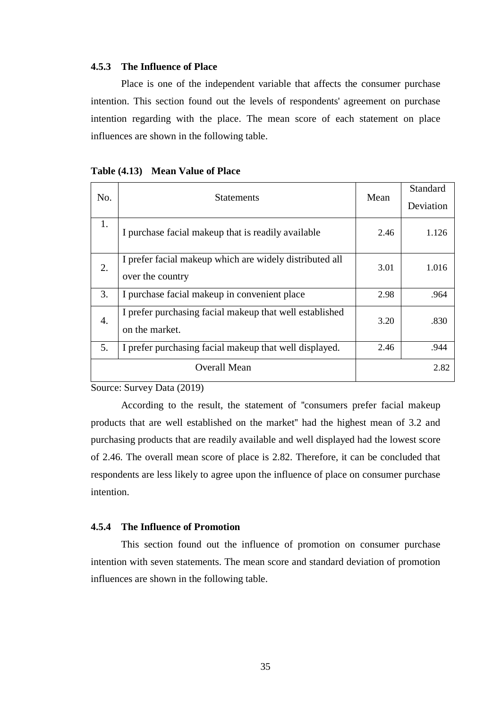#### **4.5.3 The Influence of Place**

Place is one of the independent variable that affects the consumer purchase intention. This section found out the levels of respondents' agreement on purchase intention regarding with the place. The mean score of each statement on place influences are shown in the following table.

|  |  | Table (4.13) Mean Value of Place |
|--|--|----------------------------------|
|--|--|----------------------------------|

| No.              | <b>Statements</b>                                                           |      | Standard  |
|------------------|-----------------------------------------------------------------------------|------|-----------|
|                  |                                                                             |      | Deviation |
| 1.               | I purchase facial makeup that is readily available                          | 2.46 | 1.126     |
| 2.               | I prefer facial makeup which are widely distributed all<br>over the country | 3.01 | 1.016     |
| 3.               | I purchase facial makeup in convenient place                                | 2.98 | .964      |
| $\overline{4}$ . | I prefer purchasing facial makeup that well established<br>on the market.   | 3.20 | .830      |
| 5.               | I prefer purchasing facial makeup that well displayed.                      | 2.46 | .944      |
|                  | <b>Overall Mean</b>                                                         |      | 2.82      |

Source: Survey Data (2019)

According to the result, the statement of ''consumers prefer facial makeup products that are well established on the market'' had the highest mean of 3.2 and purchasing products that are readily available and well displayed had the lowest score of 2.46. The overall mean score of place is 2.82. Therefore, it can be concluded that respondents are less likely to agree upon the influence of place on consumer purchase intention.

#### **4.5.4 The Influence of Promotion**

This section found out the influence of promotion on consumer purchase intention with seven statements. The mean score and standard deviation of promotion influences are shown in the following table.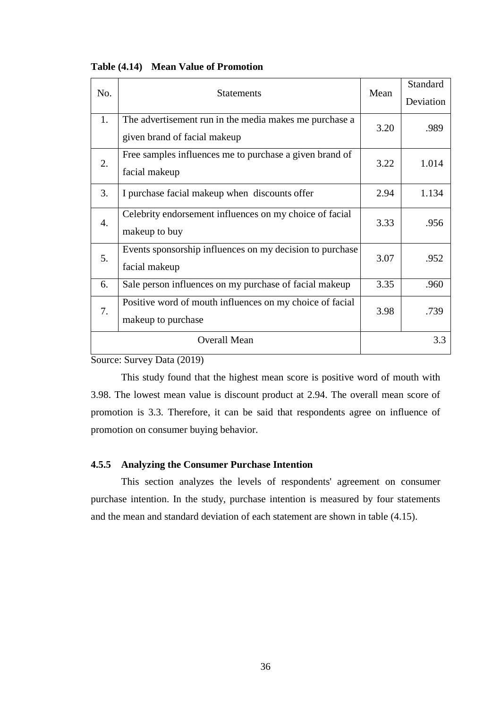|  | Table (4.14) Mean Value of Promotion |
|--|--------------------------------------|
|--|--------------------------------------|

|                  | No.<br><b>Statements</b>                                 |      | Standard  |
|------------------|----------------------------------------------------------|------|-----------|
|                  |                                                          |      | Deviation |
| 1.               | The advertisement run in the media makes me purchase a   | 3.20 | .989      |
|                  | given brand of facial makeup                             |      |           |
| 2.               | Free samples influences me to purchase a given brand of  | 3.22 | 1.014     |
|                  | facial makeup                                            |      |           |
| 3.               | I purchase facial makeup when discounts offer            | 2.94 | 1.134     |
|                  | Celebrity endorsement influences on my choice of facial  |      |           |
| $\overline{4}$ . | makeup to buy                                            | 3.33 | .956      |
| 5.               | Events sponsorship influences on my decision to purchase | 3.07 | .952      |
|                  | facial makeup                                            |      |           |
| 6.               | Sale person influences on my purchase of facial makeup   | 3.35 | .960      |
| 7.               | Positive word of mouth influences on my choice of facial | 3.98 | .739      |
|                  | makeup to purchase                                       |      |           |
|                  | <b>Overall Mean</b>                                      |      | 3.3       |
|                  |                                                          |      |           |

Source: Survey Data (2019)

This study found that the highest mean score is positive word of mouth with 3.98. The lowest mean value is discount product at 2.94. The overall mean score of promotion is 3.3. Therefore, it can be said that respondents agree on influence of promotion on consumer buying behavior.

### **4.5.5 Analyzing the Consumer Purchase Intention**

This section analyzes the levels of respondents' agreement on consumer purchase intention. In the study, purchase intention is measured by four statements and the mean and standard deviation of each statement are shown in table (4.15).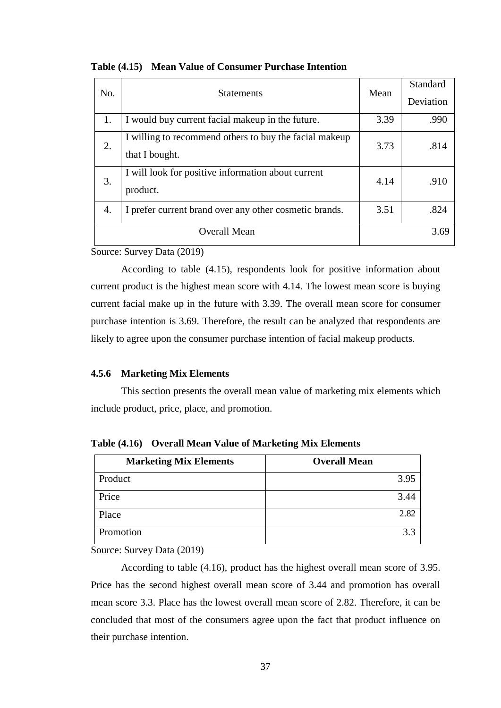| No. | <b>Statements</b>                                                        | Mean | Standard<br>Deviation |
|-----|--------------------------------------------------------------------------|------|-----------------------|
| 1.  | I would buy current facial makeup in the future.                         | 3.39 | .990                  |
| 2.  | I willing to recommend others to buy the facial makeup<br>that I bought. | 3.73 | .814                  |
| 3.  | I will look for positive information about current<br>product.           | 4.14 | .910                  |
| 4.  | I prefer current brand over any other cosmetic brands.                   | 3.51 | .824                  |
|     | Overall Mean                                                             |      | 3.69                  |

**Table (4.15) Mean Value of Consumer Purchase Intention**

Source: Survey Data (2019)

According to table (4.15), respondents look for positive information about current product is the highest mean score with 4.14. The lowest mean score is buying current facial make up in the future with 3.39. The overall mean score for consumer purchase intention is 3.69. Therefore, the result can be analyzed that respondents are likely to agree upon the consumer purchase intention of facial makeup products.

### **4.5.6 Marketing Mix Elements**

This section presents the overall mean value of marketing mix elements which include product, price, place, and promotion.

| <b>Marketing Mix Elements</b> | <b>Overall Mean</b> |
|-------------------------------|---------------------|
| Product                       | 3.95                |
| Price                         | 3.44                |
| Place                         | 2.82                |
| Promotion                     |                     |

**Table (4.16) Overall Mean Value of Marketing Mix Elements**

Source: Survey Data (2019)

According to table (4.16), product has the highest overall mean score of 3.95. Price has the second highest overall mean score of 3.44 and promotion has overall mean score 3.3. Place has the lowest overall mean score of 2.82. Therefore, it can be concluded that most of the consumers agree upon the fact that product influence on their purchase intention.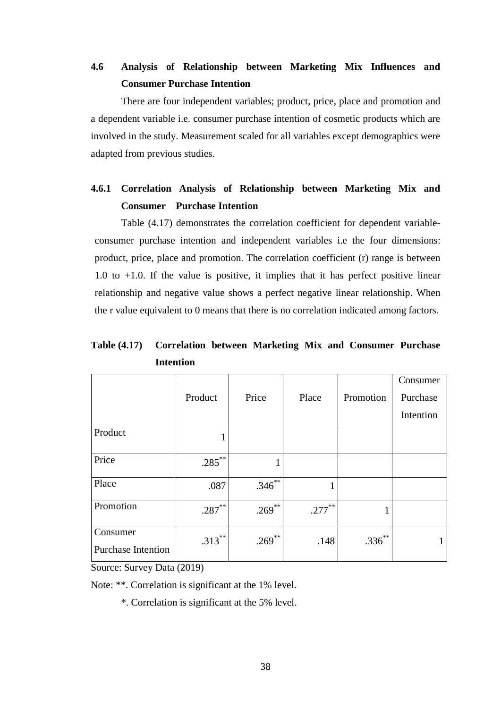### **4.6 Analysis of Relationship between Marketing Mix Influences and Consumer Purchase Intention**

There are four independent variables; product, price, place and promotion and a dependent variable i.e. consumer purchase intention of cosmetic products which are involved in the study. Measurement scaled for all variables except demographics were adapted from previous studies.

### **4.6.1 Correlation Analysis of Relationship between Marketing Mix and Consumer Purchase Intention**

Table (4.17) demonstrates the correlation coefficient for dependent variableconsumer purchase intention and independent variables i.e the four dimensions: product, price, place and promotion. The correlation coefficient (r) range is between 1.0 to +1.0. If the value is positive, it implies that it has perfect positive linear relationship and negative value shows a perfect negative linear relationship. When the r value equivalent to 0 means that there is no correlation indicated among factors.

**Table (4.17) Correlation between Marketing Mix and Consumer Purchase Intention**

|                                       | Product   | Price       | Place     | Promotion   | Consumer<br>Purchase<br>Intention |
|---------------------------------------|-----------|-------------|-----------|-------------|-----------------------------------|
| Product                               | $\bf{I}$  |             |           |             |                                   |
| Price                                 | $.285***$ |             |           |             |                                   |
| Place                                 | .087      | $.346^{**}$ | T         |             |                                   |
| Promotion                             | $.287***$ | $.269$ **   | $.277***$ | 1           |                                   |
| Consumer<br><b>Purchase Intention</b> | $.313***$ | $.269$ **   | .148      | $.336^{**}$ | 1                                 |

Source: Survey Data (2019)

Note: \*\*. Correlation is significant at the 1% level.

\*. Correlation is significant at the 5% level.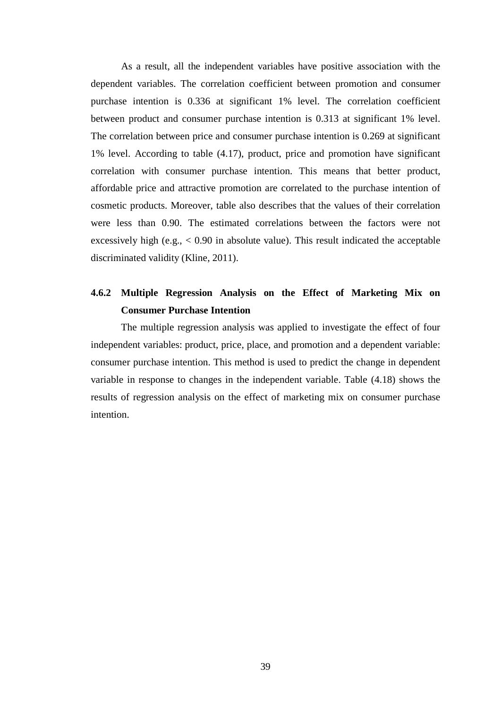As a result, all the independent variables have positive association with the dependent variables. The correlation coefficient between promotion and consumer purchase intention is 0.336 at significant 1% level. The correlation coefficient between product and consumer purchase intention is 0.313 at significant 1% level. The correlation between price and consumer purchase intention is 0.269 at significant 1% level. According to table (4.17), product, price and promotion have significant correlation with consumer purchase intention. This means that better product, affordable price and attractive promotion are correlated to the purchase intention of cosmetic products. Moreover, table also describes that the values of their correlation were less than 0.90. The estimated correlations between the factors were not excessively high (e.g.,  $< 0.90$  in absolute value). This result indicated the acceptable discriminated validity (Kline, 2011).

### **4.6.2 Multiple Regression Analysis on the Effect of Marketing Mix on Consumer Purchase Intention**

The multiple regression analysis was applied to investigate the effect of four independent variables: product, price, place, and promotion and a dependent variable: consumer purchase intention. This method is used to predict the change in dependent variable in response to changes in the independent variable. Table (4.18) shows the results of regression analysis on the effect of marketing mix on consumer purchase intention.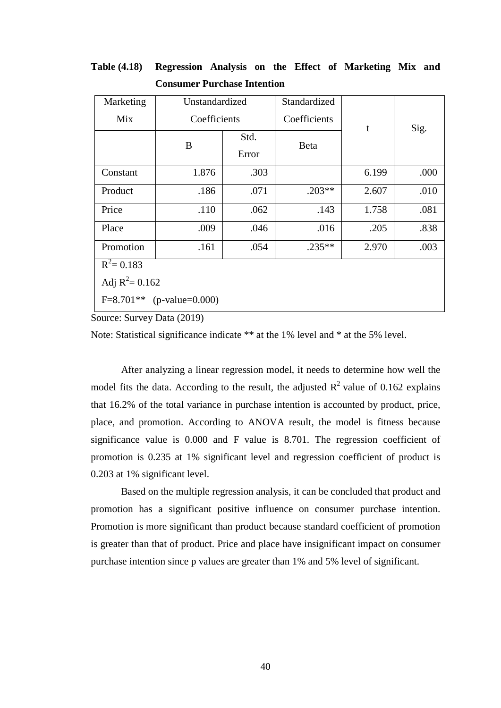| Marketing                   | Unstandardized |              | Standardized |                |      |  |
|-----------------------------|----------------|--------------|--------------|----------------|------|--|
| Mix                         |                | Coefficients |              | $\mathfrak{t}$ | Sig. |  |
|                             | B              | Std.         | <b>Beta</b>  |                |      |  |
|                             |                | Error        |              |                |      |  |
| Constant                    | 1.876          | .303         |              | 6.199          | .000 |  |
| Product                     | .186           | .071         | $.203**$     | 2.607          | .010 |  |
| Price                       | .110           | .062         | .143         | 1.758          | .081 |  |
| Place                       | .009           | .046         | .016         | .205           | .838 |  |
| Promotion                   | .161           | .054         | $.235**$     | 2.970          | .003 |  |
| $R^2 = 0.183$               |                |              |              |                |      |  |
| Adj $R^2 = 0.162$           |                |              |              |                |      |  |
| $F=8.701**$ (p-value=0.000) |                |              |              |                |      |  |

**Table (4.18) Regression Analysis on the Effect of Marketing Mix and Consumer Purchase Intention**

Source: Survey Data (2019)

Note: Statistical significance indicate \*\* at the 1% level and \* at the 5% level.

After analyzing a linear regression model, it needs to determine how well the model fits the data. According to the result, the adjusted  $R^2$  value of 0.162 explains that 16.2% of the total variance in purchase intention is accounted by product, price, place, and promotion. According to ANOVA result, the model is fitness because significance value is 0.000 and F value is 8.701. The regression coefficient of promotion is 0.235 at 1% significant level and regression coefficient of product is 0.203 at 1% significant level.

Based on the multiple regression analysis, it can be concluded that product and promotion has a significant positive influence on consumer purchase intention. Promotion is more significant than product because standard coefficient of promotion is greater than that of product. Price and place have insignificant impact on consumer purchase intention since p values are greater than 1% and 5% level of significant.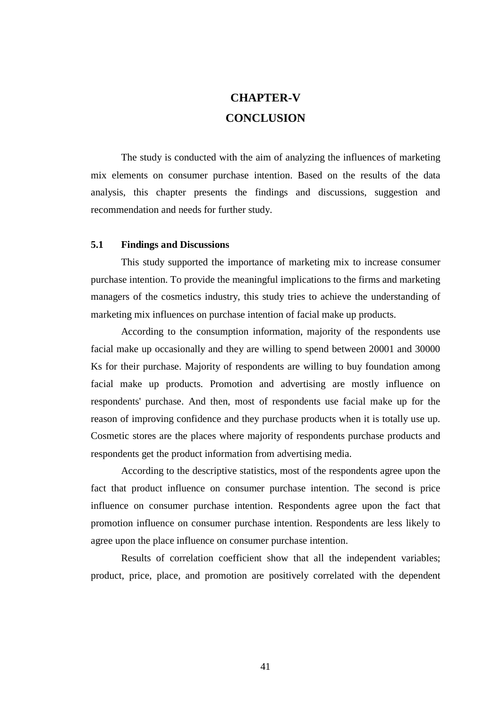## **CHAPTER-V CONCLUSION**

The study is conducted with the aim of analyzing the influences of marketing mix elements on consumer purchase intention. Based on the results of the data analysis, this chapter presents the findings and discussions, suggestion and recommendation and needs for further study.

### **5.1 Findings and Discussions**

This study supported the importance of marketing mix to increase consumer purchase intention. To provide the meaningful implications to the firms and marketing managers of the cosmetics industry, this study tries to achieve the understanding of marketing mix influences on purchase intention of facial make up products.

According to the consumption information, majority of the respondents use facial make up occasionally and they are willing to spend between 20001 and 30000 Ks for their purchase. Majority of respondents are willing to buy foundation among facial make up products. Promotion and advertising are mostly influence on respondents' purchase. And then, most of respondents use facial make up for the reason of improving confidence and they purchase products when it is totally use up. Cosmetic stores are the places where majority of respondents purchase products and respondents get the product information from advertising media.

According to the descriptive statistics, most of the respondents agree upon the fact that product influence on consumer purchase intention. The second is price influence on consumer purchase intention. Respondents agree upon the fact that promotion influence on consumer purchase intention. Respondents are less likely to agree upon the place influence on consumer purchase intention.

Results of correlation coefficient show that all the independent variables; product, price, place, and promotion are positively correlated with the dependent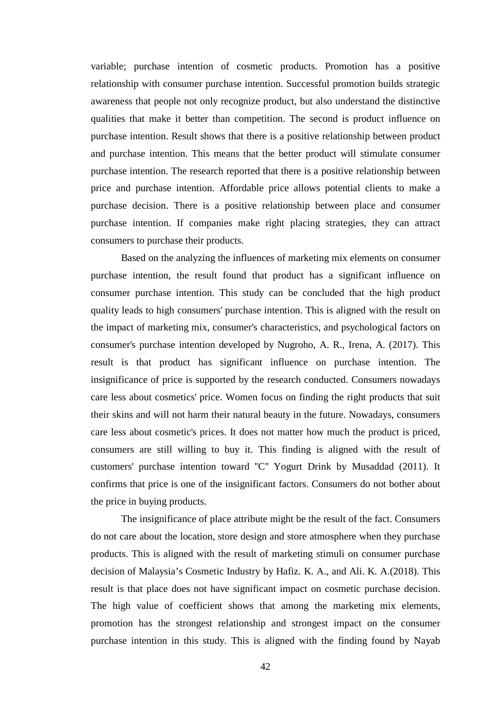variable; purchase intention of cosmetic products. Promotion has a positive relationship with consumer purchase intention. Successful promotion builds strategic awareness that people not only recognize product, but also understand the distinctive qualities that make it better than competition. The second is product influence on purchase intention. Result shows that there is a positive relationship between product and purchase intention. This means that the better product will stimulate consumer purchase intention. The research reported that there is a positive relationship between price and purchase intention. Affordable price allows potential clients to make a purchase decision. There is a positive relationship between place and consumer purchase intention. If companies make right placing strategies, they can attract consumers to purchase their products.

Based on the analyzing the influences of marketing mix elements on consumer purchase intention, the result found that product has a significant influence on consumer purchase intention. This study can be concluded that the high product quality leads to high consumers' purchase intention. This is aligned with the result on the impact of marketing mix, consumer's characteristics, and psychological factors on consumer's purchase intention developed by Nugroho, A. R., Irena, A. (2017). This result is that product has significant influence on purchase intention. The insignificance of price is supported by the research conducted. Consumers nowadays care less about cosmetics' price. Women focus on finding the right products that suit their skins and will not harm their natural beauty in the future. Nowadays, consumers care less about cosmetic's prices. It does not matter how much the product is priced, consumers are still willing to buy it. This finding is aligned with the result of customers' purchase intention toward ''C'' Yogurt Drink by Musaddad (2011). It confirms that price is one of the insignificant factors. Consumers do not bother about the price in buying products.

The insignificance of place attribute might be the result of the fact. Consumers do not care about the location, store design and store atmosphere when they purchase products. This is aligned with the result of marketing stimuli on consumer purchase decision of Malaysia's Cosmetic Industry by Hafiz. K. A., and Ali. K. A.(2018). This result is that place does not have significant impact on cosmetic purchase decision. The high value of coefficient shows that among the marketing mix elements, promotion has the strongest relationship and strongest impact on the consumer purchase intention in this study. This is aligned with the finding found by Nayab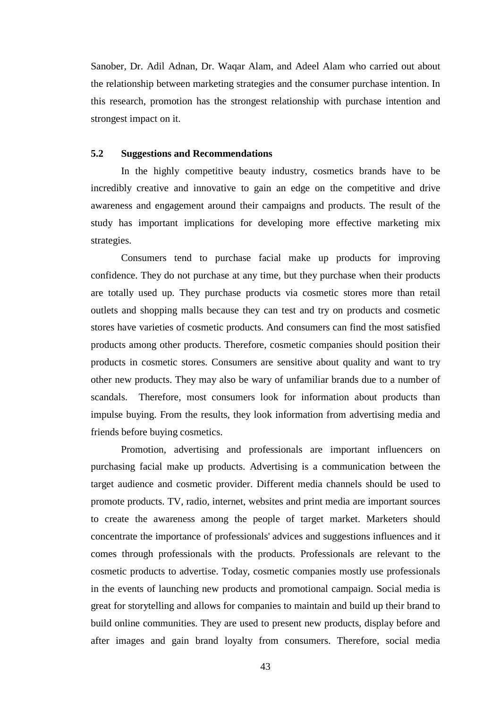Sanober, Dr. Adil Adnan, Dr. Waqar Alam, and Adeel Alam who carried out about the relationship between marketing strategies and the consumer purchase intention. In this research, promotion has the strongest relationship with purchase intention and strongest impact on it.

### **5.2 Suggestions and Recommendations**

In the highly competitive beauty industry, cosmetics brands have to be incredibly creative and innovative to gain an edge on the competitive and drive awareness and engagement around their campaigns and products. The result of the study has important implications for developing more effective marketing mix strategies.

Consumers tend to purchase facial make up products for improving confidence. They do not purchase at any time, but they purchase when their products are totally used up. They purchase products via cosmetic stores more than retail outlets and shopping malls because they can test and try on products and cosmetic stores have varieties of cosmetic products. And consumers can find the most satisfied products among other products. Therefore, cosmetic companies should position their products in cosmetic stores. Consumers are sensitive about quality and want to try other new products. They may also be wary of unfamiliar brands due to a number of scandals. Therefore, most consumers look for information about products than impulse buying. From the results, they look information from advertising media and friends before buying cosmetics.

Promotion, advertising and professionals are important influencers on purchasing facial make up products. Advertising is a communication between the target audience and cosmetic provider. Different media channels should be used to promote products. TV, radio, internet, websites and print media are important sources to create the awareness among the people of target market. Marketers should concentrate the importance of professionals' advices and suggestions influences and it comes through professionals with the products. Professionals are relevant to the cosmetic products to advertise. Today, cosmetic companies mostly use professionals in the events of launching new products and promotional campaign. Social media is great for storytelling and allows for companies to maintain and build up their brand to build online communities. They are used to present new products, display before and after images and gain brand loyalty from consumers. Therefore, social media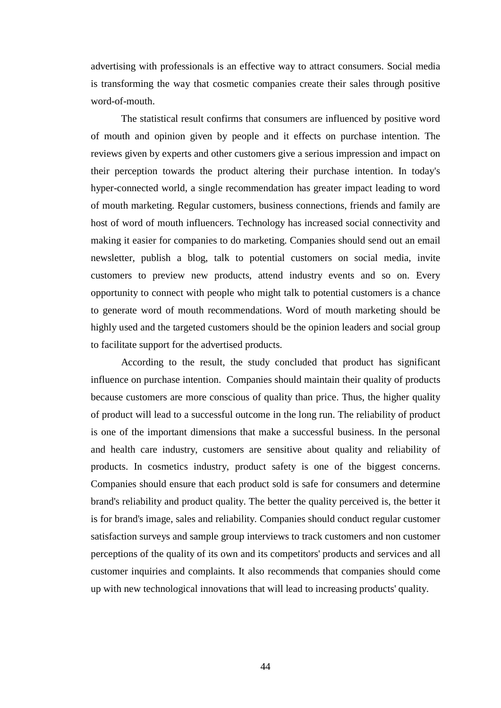advertising with professionals is an effective way to attract consumers. Social media is transforming the way that cosmetic companies create their sales through positive word-of-mouth.

The statistical result confirms that consumers are influenced by positive word of mouth and opinion given by people and it effects on purchase intention. The reviews given by experts and other customers give a serious impression and impact on their perception towards the product altering their purchase intention. In today's hyper-connected world, a single recommendation has greater impact leading to word of mouth marketing. Regular customers, business connections, friends and family are host of word of mouth influencers. Technology has increased social connectivity and making it easier for companies to do marketing. Companies should send out an email newsletter, publish a blog, talk to potential customers on social media, invite customers to preview new products, attend industry events and so on. Every opportunity to connect with people who might talk to potential customers is a chance to generate word of mouth recommendations. Word of mouth marketing should be highly used and the targeted customers should be the opinion leaders and social group to facilitate support for the advertised products.

According to the result, the study concluded that product has significant influence on purchase intention. Companies should maintain their quality of products because customers are more conscious of quality than price. Thus, the higher quality of product will lead to a successful outcome in the long run. The reliability of product is one of the important dimensions that make a successful business. In the personal and health care industry, customers are sensitive about quality and reliability of products. In cosmetics industry, product safety is one of the biggest concerns. Companies should ensure that each product sold is safe for consumers and determine brand's reliability and product quality. The better the quality perceived is, the better it is for brand's image, sales and reliability. Companies should conduct regular customer satisfaction surveys and sample group interviews to track customers and non customer perceptions of the quality of its own and its competitors' products and services and all customer inquiries and complaints. It also recommends that companies should come up with new technological innovations that will lead to increasing products' quality.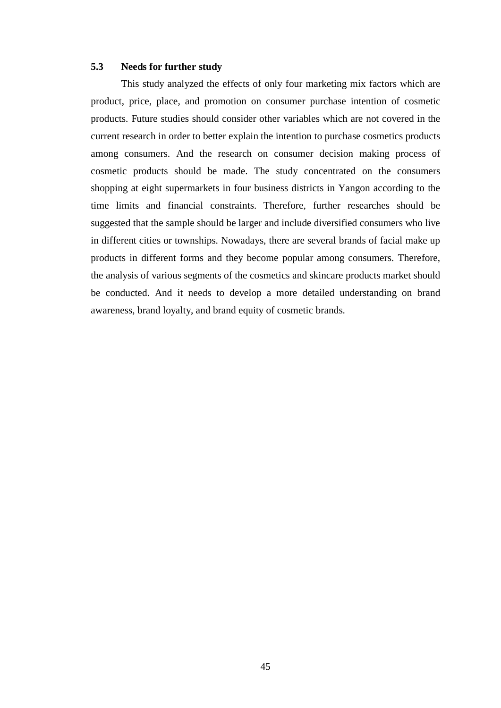#### **5.3 Needs for further study**

This study analyzed the effects of only four marketing mix factors which are product, price, place, and promotion on consumer purchase intention of cosmetic products. Future studies should consider other variables which are not covered in the current research in order to better explain the intention to purchase cosmetics products among consumers. And the research on consumer decision making process of cosmetic products should be made. The study concentrated on the consumers shopping at eight supermarkets in four business districts in Yangon according to the time limits and financial constraints. Therefore, further researches should be suggested that the sample should be larger and include diversified consumers who live in different cities or townships. Nowadays, there are several brands of facial make up products in different forms and they become popular among consumers. Therefore, the analysis of various segments of the cosmetics and skincare products market should be conducted. And it needs to develop a more detailed understanding on brand awareness, brand loyalty, and brand equity of cosmetic brands.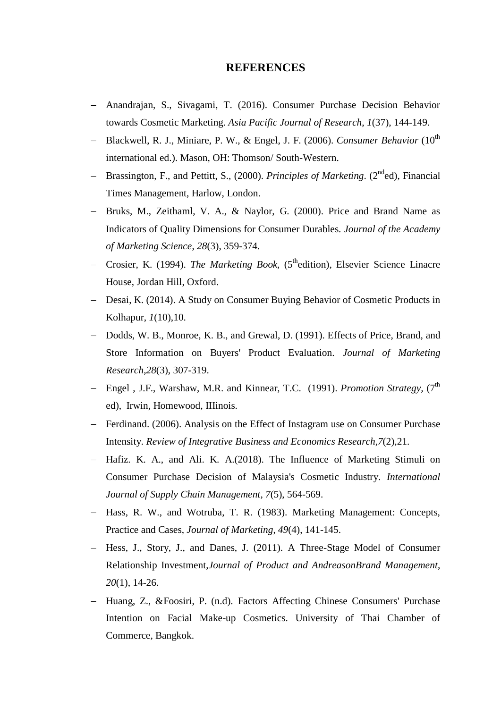### **REFERENCES**

- − Anandrajan, S., Sivagami, T. (2016). Consumer Purchase Decision Behavior towards Cosmetic Marketing. *Asia Pacific Journal of Research*, *1*(37), 144-149.
- − Blackwell, R. J., Miniare, P. W., & Engel, J. F. (2006). *Consumer Behavior* (10th international ed.). Mason, OH: Thomson/ South-Western.
- Brassington, F., and Pettitt, S., (2000). *Principles of Marketing*. (2<sup>nd</sup>ed). Financial Times Management, Harlow, London.
- − Bruks, M., Zeithaml, V. A., & Naylor, G. (2000). Price and Brand Name as Indicators of Quality Dimensions for Consumer Durables. *Journal of the Academy of Marketing Science*, *28*(3), 359-374.
- − Crosier, K. (1994). *The Marketing Book*, (5thedition), Elsevier Science Linacre House, Jordan Hill, Oxford.
- − Desai, K. (2014). A Study on Consumer Buying Behavior of Cosmetic Products in Kolhapur, *1*(10),10.
- − Dodds, W. B., Monroe, K. B., and Grewal, D. (1991). Effects of Price, Brand, and Store Information on Buyers' Product Evaluation. *Journal of Marketing Research*,*28*(3), 307-319.
- − Engel , J.F., Warshaw, M.R. and Kinnear, T.C. (1991). *Promotion Strategy,* (7th ed), Irwin, Homewood, IIIinois.
- − Ferdinand. (2006). Analysis on the Effect of Instagram use on Consumer Purchase Intensity. *Review of Integrative Business and Economics Research*,*7*(2),21.
- − Hafiz. K. A., and Ali. K. A.(2018). The Influence of Marketing Stimuli on Consumer Purchase Decision of Malaysia's Cosmetic Industry. *International Journal of Supply Chain Management*, *7*(5), 564-569.
- − Hass, R. W., and Wotruba, T. R. (1983). Marketing Management: Concepts, Practice and Cases, *Journal of Marketing*, *49*(4), 141-145.
- − Hess, J., Story, J., and Danes, J. (2011). A Three-Stage Model of Consumer Relationship Investment,*Journal of Product and AndreasonBrand Management*, *20*(1), 14-26.
- − Huang, Z., &Foosiri, P. (n.d). Factors Affecting Chinese Consumers' Purchase Intention on Facial Make-up Cosmetics. University of Thai Chamber of Commerce, Bangkok.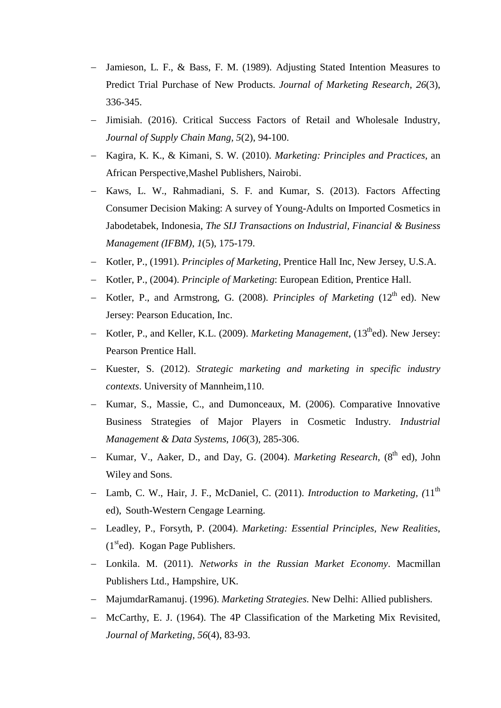- − Jamieson, L. F., & Bass, F. M. (1989). Adjusting Stated Intention Measures to Predict Trial Purchase of New Products. *Journal of Marketing Research*, *26*(3), 336-345.
- − Jimisiah. (2016). Critical Success Factors of Retail and Wholesale Industry, *Journal of Supply Chain Mang, 5*(2), 94-100.
- − Kagira, K. K., & Kimani, S. W. (2010). *Marketing: Principles and Practices*, an African Perspective,Mashel Publishers, Nairobi.
- − Kaws, L. W., Rahmadiani, S. F. and Kumar, S. (2013). Factors Affecting Consumer Decision Making: A survey of Young-Adults on Imported Cosmetics in Jabodetabek, Indonesia, *The SIJ Transactions on Industrial, Financial & Business Management (IFBM)*, *1*(5), 175-179.
- − Kotler, P., (1991). *Principles of Marketing*, Prentice Hall Inc, New Jersey, U.S.A.
- − Kotler, P., (2004). *Principle of Marketing*: European Edition, Prentice Hall.
- − Kotler, P., and Armstrong, G. (2008). *Principles of Marketing* (12th ed). New Jersey: Pearson Education, Inc.
- − Kotler, P., and Keller, K.L. (2009). *Marketing Management*, (13thed). New Jersey: Pearson Prentice Hall.
- − Kuester, S. (2012). *Strategic marketing and marketing in specific industry contexts*. University of Mannheim,110.
- − Kumar, S., Massie, C., and Dumonceaux, M. (2006). Comparative Innovative Business Strategies of Major Players in Cosmetic Industry. *Industrial Management & Data Systems*, *106*(3), 285-306.
- − Kumar, V., Aaker, D., and Day, G. (2004). *Marketing Research*, (8th ed), John Wiley and Sons.
- − Lamb, C. W., Hair, J. F., McDaniel, C. (2011). *Introduction to Marketing, (*11th ed), South-Western Cengage Learning.
- − Leadley, P., Forsyth, P. (2004). *Marketing: Essential Principles, New Realities*,  $(1<sup>st</sup>ed)$ . Kogan Page Publishers.
- − Lonkila. M. (2011). *Networks in the Russian Market Economy*. Macmillan Publishers Ltd., Hampshire, UK.
- − MajumdarRamanuj. (1996). *Marketing Strategies*. New Delhi: Allied publishers.
- − McCarthy, E. J. (1964). The 4P Classification of the Marketing Mix Revisited, *Journal of Marketing*, *56*(4), 83-93.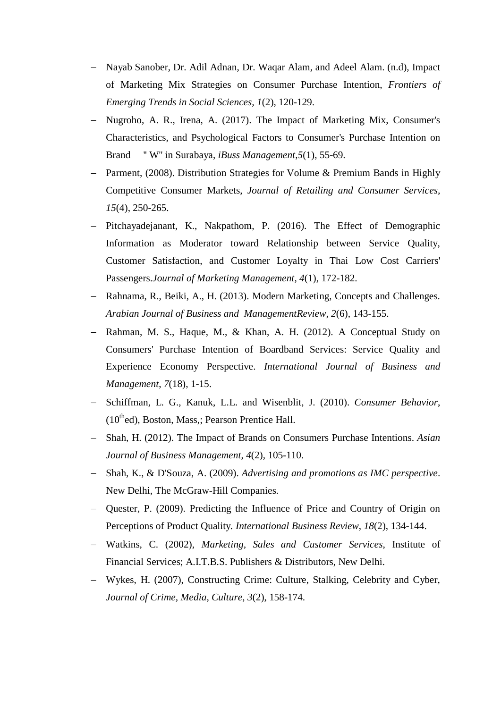- − Nayab Sanober, Dr. Adil Adnan, Dr. Waqar Alam, and Adeel Alam. (n.d), Impact of Marketing Mix Strategies on Consumer Purchase Intention, *Frontiers of Emerging Trends in Social Sciences, 1*(2), 120-129.
- − Nugroho, A. R., Irena, A. (2017). The Impact of Marketing Mix, Consumer's Characteristics, and Psychological Factors to Consumer's Purchase Intention on Brand '' W'' in Surabaya, *iBuss Management*,*5*(1), 55-69.
- − Parment, (2008). Distribution Strategies for Volume & Premium Bands in Highly Competitive Consumer Markets, *Journal of Retailing and Consumer Services, 15*(4), 250-265.
- − Pitchayadejanant, K., Nakpathom, P. (2016). The Effect of Demographic Information as Moderator toward Relationship between Service Quality, Customer Satisfaction, and Customer Loyalty in Thai Low Cost Carriers' Passengers.*Journal of Marketing Management*, *4*(1), 172-182.
- − Rahnama, R., Beiki, A., H. (2013). Modern Marketing, Concepts and Challenges. *Arabian Journal of Business and ManagementReview, 2*(6), 143-155.
- − Rahman, M. S., Haque, M., & Khan, A. H. (2012). A Conceptual Study on Consumers' Purchase Intention of Boardband Services: Service Quality and Experience Economy Perspective. *International Journal of Business and Management*, *7*(18), 1-15.
- − Schiffman, L. G., Kanuk, L.L. and Wisenblit, J. (2010). *Consumer Behavior*,  $(10<sup>th</sup>$ ed), Boston, Mass,; Pearson Prentice Hall.
- − Shah, H. (2012). The Impact of Brands on Consumers Purchase Intentions. *Asian Journal of Business Management*, *4*(2), 105-110.
- − Shah, K., & D'Souza, A. (2009). *Advertising and promotions as IMC perspective*. New Delhi, The McGraw-Hill Companies.
- − Quester, P. (2009). Predicting the Influence of Price and Country of Origin on Perceptions of Product Quality*. International Business Review*, *18*(2), 134-144.
- − Watkins, C. (2002), *Marketing, Sales and Customer Services*, Institute of Financial Services; A.I.T.B.S. Publishers & Distributors, New Delhi.
- − Wykes, H. (2007), Constructing Crime: Culture, Stalking, Celebrity and Cyber, *Journal of Crime, Media, Culture, 3*(2), 158-174.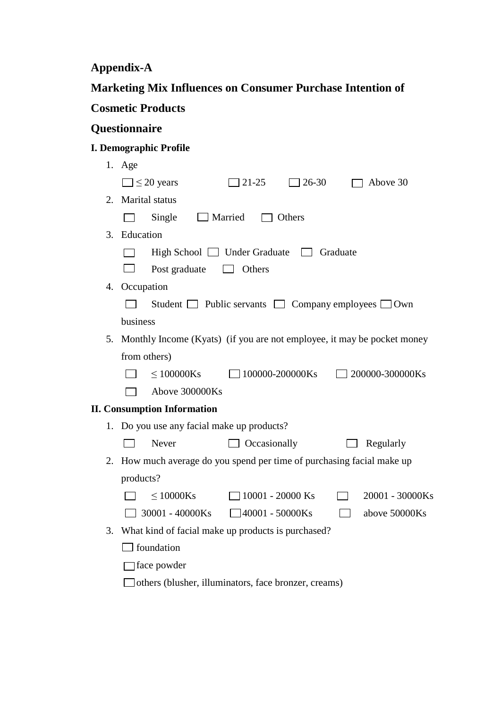**Appendix-A**

| Marketing Mix Influences on Consumer Purchase Intention of |  |
|------------------------------------------------------------|--|
| <b>Cosmetic Products</b>                                   |  |

## **Questionnaire**

## **I. Demographic Profile**

|    | 1. Age                                                                  |
|----|-------------------------------------------------------------------------|
|    | $\Box$ 21-25<br>$\Box \leq 20$ years<br>7 26-30<br>Above 30             |
| 2. | <b>Marital</b> status                                                   |
|    | $\Box$ Married<br>Single<br>$\Box$ Others                               |
|    | 3. Education                                                            |
|    | High School $\Box$ Under Graduate $\Box$<br>Graduate                    |
|    | Post graduate<br>Others                                                 |
| 4. | Occupation                                                              |
|    | Student $\Box$ Public servants $\Box$ Company employees $\Box$ Own      |
|    | business                                                                |
| 5. | Monthly Income (Kyats) (if you are not employee, it may be pocket money |
|    | from others)                                                            |
|    | $< 100000$ Ks<br>$\Box$ 100000-200000Ks<br>$\Box$ 200000-300000Ks       |
|    | Above 300000Ks                                                          |
|    | <b>II. Consumption Information</b>                                      |
|    | 1. Do you use any facial make up products?                              |
|    | Never<br>$\Box$ Occasionally<br>Regularly                               |
| 2. | How much average do you spend per time of purchasing facial make up     |
|    | products?                                                               |
|    | $\leq 10000$ Ks<br>$\Box$ 10001 - 20000 Ks<br>20001 - 30000Ks           |
|    | $\Box$ 30001 - 40000Ks<br>$\Box$ 40001 - 50000Ks<br>above 50000Ks       |
| 3. | What kind of facial make up products is purchased?                      |
|    | <b>foundation</b>                                                       |
|    | ∃face powder                                                            |
|    | others (blusher, illuminators, face bronzer, creams)                    |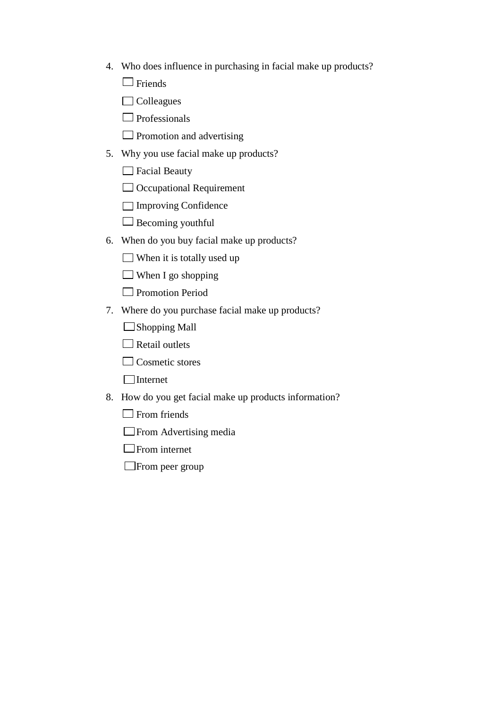- 4. Who does influence in purchasing in facial make up products?
	- $\Box$  Friends
	- $\Box$  Colleagues
	- $\Box$  Professionals
	- $\Box$  Promotion and advertising
- 5. Why you use facial make up products?
	- □ Facial Beauty
	- $\Box$  Occupational Requirement
	- Improving Confidence
	- $\Box$  Becoming youthful
- 6. When do you buy facial make up products?
	- $\Box$  When it is totally used up
	- $\Box$  When I go shopping
	- **Promotion Period**
- 7. Where do you purchase facial make up products?
	- $\Box$ Shopping Mall
	- $\Box$  Retail outlets
	- $\Box$  Cosmetic stores
	- Internet
- 8. How do you get facial make up products information?
	- $\Box$  From friends
	- **Example 3** From Advertising media
	- $\Box$  From internet
	- From peer group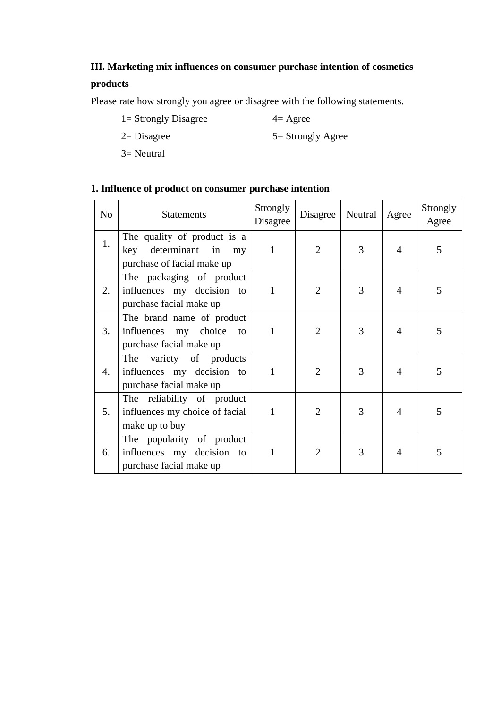## **III. Marketing mix influences on consumer purchase intention of cosmetics**

### **products**

Please rate how strongly you agree or disagree with the following statements.

 $1=$  Strongly Disagree  $4=$  Agree

 $2=$  Disagree  $5=$  Strongly Agree

3= Neutral

### **1. Influence of product on consumer purchase intention**

| N <sub>o</sub> | <b>Statements</b>                                                                     | Strongly<br>Disagree | Disagree       | Neutral | Agree          | Strongly<br>Agree |
|----------------|---------------------------------------------------------------------------------------|----------------------|----------------|---------|----------------|-------------------|
| 1.             | The quality of product is a<br>key determinant in<br>my<br>purchase of facial make up | $\mathbf{1}$         | 2              | 3       | $\overline{4}$ | 5                 |
| 2.             | The packaging of product<br>influences my decision to<br>purchase facial make up      | $\mathbf{1}$         | $\overline{2}$ | 3       | $\overline{4}$ | 5                 |
| 3.             | The brand name of product<br>influences my choice to<br>purchase facial make up       | 1                    | $\overline{2}$ | 3       | $\overline{4}$ | 5                 |
| 4.             | variety of products<br>The<br>influences my decision to<br>purchase facial make up    | 1                    | $\overline{2}$ | 3       | $\overline{4}$ | 5                 |
| 5.             | The reliability of product<br>influences my choice of facial<br>make up to buy        | 1                    | $\overline{2}$ | 3       | $\overline{4}$ | 5                 |
| 6.             | The popularity of product<br>influences my decision to<br>purchase facial make up     |                      | $\overline{2}$ | 3       | 4              | 5                 |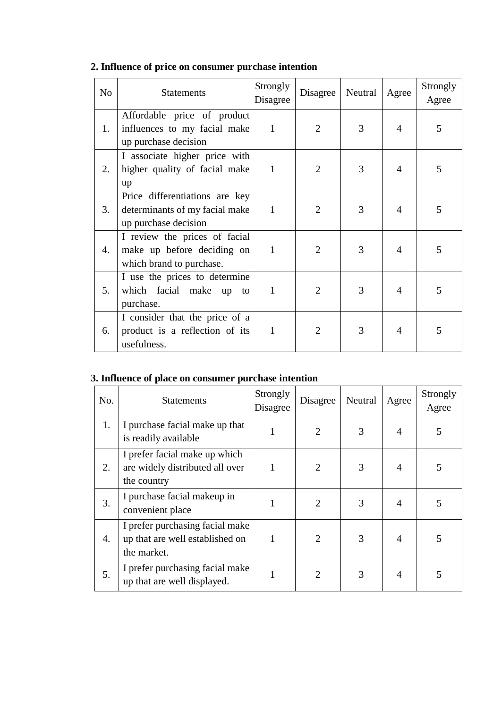| N <sub>o</sub> | <b>Statements</b>                                                                        | Strongly<br>Disagree | Disagree       | Neutral | Agree | Strongly<br>Agree |
|----------------|------------------------------------------------------------------------------------------|----------------------|----------------|---------|-------|-------------------|
| 1.             | Affordable price of product<br>influences to my facial make<br>up purchase decision      | $\mathbf{1}$         | $\overline{2}$ | 3       | 4     | 5                 |
| 2.             | I associate higher price with<br>higher quality of facial make<br>up                     | $\mathbf{1}$         | 2              | 3       | 4     | 5                 |
| 3.             | Price differentiations are key<br>determinants of my facial make<br>up purchase decision | $\mathbf{1}$         | $\overline{2}$ | 3       | 4     | 5                 |
| 4.             | I review the prices of facial<br>make up before deciding on<br>which brand to purchase.  | $\mathbf{1}$         | 2              | 3       | 4     | 5                 |
| 5.             | I use the prices to determine<br>which facial make up to<br>purchase.                    | $\mathbf{1}$         | $\overline{2}$ | 3       | 4     | 5                 |
| 6.             | I consider that the price of a<br>product is a reflection of its<br>usefulness.          | 1                    | $\overline{2}$ | 3       | 4     | 5                 |

## **2. Influence of price on consumer purchase intention**

### **3. Influence of place on consumer purchase intention**

| No. | <b>Statements</b>                                                                 | Strongly<br>Disagree | Disagree                    | Neutral | Agree | Strongly<br>Agree |
|-----|-----------------------------------------------------------------------------------|----------------------|-----------------------------|---------|-------|-------------------|
| 1.  | I purchase facial make up that<br>is readily available                            |                      | $\mathfrak{D}$              | 3       | 4     | 5                 |
| 2.  | I prefer facial make up which<br>are widely distributed all over<br>the country   | 1                    | $\overline{2}$              | 3       | 4     | 5                 |
| 3.  | I purchase facial makeup in<br>convenient place                                   |                      | $\mathcal{D}_{\mathcal{A}}$ | 3       | 4     | 5                 |
| 4.  | I prefer purchasing facial make<br>up that are well established on<br>the market. |                      | $\overline{2}$              | 3       | 4     | 5                 |
| 5.  | I prefer purchasing facial make<br>up that are well displayed.                    |                      | $\mathfrak{D}_{\cdot}$      | 3       | 4     | 5                 |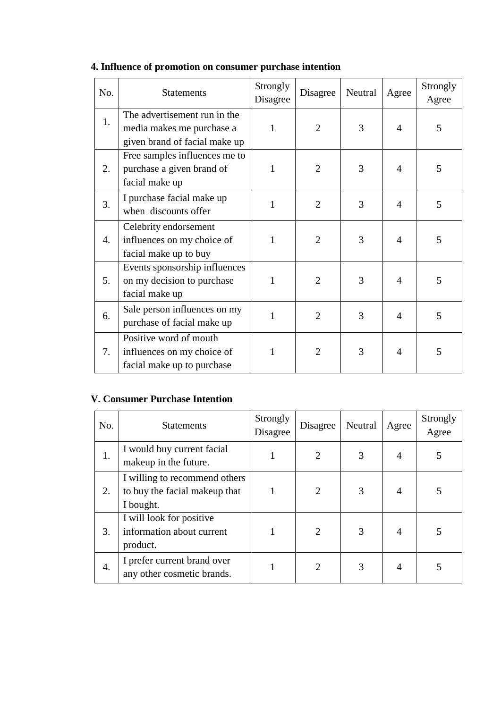| No. | <b>Statements</b>                                                                          | Strongly<br>Disagree | Disagree       | Neutral | Agree | Strongly<br>Agree |
|-----|--------------------------------------------------------------------------------------------|----------------------|----------------|---------|-------|-------------------|
| 1.  | The advertisement run in the<br>media makes me purchase a<br>given brand of facial make up | 1                    | $\overline{2}$ | 3       | 4     | 5                 |
| 2.  | Free samples influences me to<br>purchase a given brand of<br>facial make up               | 1                    | $\overline{2}$ | 3       | 4     | 5                 |
| 3.  | I purchase facial make up<br>when discounts offer                                          | $\mathbf{1}$         | $\overline{2}$ | 3       | 4     | 5                 |
| 4.  | Celebrity endorsement<br>influences on my choice of<br>facial make up to buy               | 1                    | $\overline{2}$ | 3       | 4     | 5                 |
| 5.  | Events sponsorship influences<br>on my decision to purchase<br>facial make up              | 1                    | $\overline{2}$ | 3       | 4     | 5                 |
| 6.  | Sale person influences on my<br>purchase of facial make up                                 | 1                    | $\overline{2}$ | 3       | 4     | 5                 |
| 7.  | Positive word of mouth<br>influences on my choice of<br>facial make up to purchase         |                      | $\overline{2}$ | 3       | 4     | 5                 |

## **4. Influence of promotion on consumer purchase intention**

### **V. Consumer Purchase Intention**

| No. | <b>Statements</b>                                                           | Strongly<br>Disagree | Disagree       | Neutral | Agree          | Strongly<br>Agree |
|-----|-----------------------------------------------------------------------------|----------------------|----------------|---------|----------------|-------------------|
| 1.  | I would buy current facial<br>makeup in the future.                         |                      |                | 3       | 4              | 5                 |
| 2.  | I willing to recommend others<br>to buy the facial makeup that<br>I bought. |                      | 2              | 3       | $\overline{A}$ | 5                 |
| 3.  | I will look for positive<br>information about current<br>product.           |                      | $\overline{2}$ | 3       | $\overline{A}$ | 5                 |
| 4.  | I prefer current brand over<br>any other cosmetic brands.                   |                      | $\overline{c}$ | 3       | $\overline{A}$ | 5                 |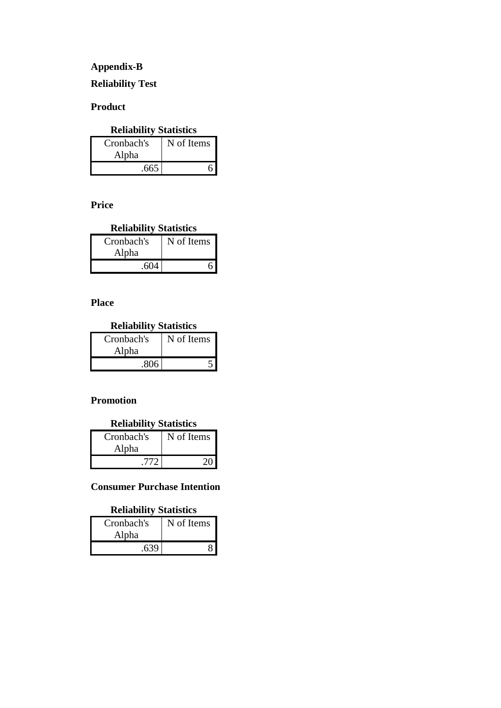### **Appendix-B**

### **Reliability Test**

### **Product**

## **Reliability Statistics**

| Cronbach's | N of Items |
|------------|------------|
| Alpha      |            |
| .665       |            |

**Price**

### **Reliability Statistics**

| Cronbach's | N of Items |
|------------|------------|
| Alpha      |            |
| .604       |            |

### **Place**

### **Reliability Statistics**

| Cronbach's | N of Items |
|------------|------------|
| Alpha      |            |
| .806       |            |

### **Promotion**

### **Reliability Statistics**

| Cronbach's | N of Items |
|------------|------------|
| Alpha      |            |
| .772       |            |

### **Consumer Purchase Intention**

#### **Reliability Statistics**

| Cronbach's | N of Items |
|------------|------------|
| Alpha      |            |
| .639       |            |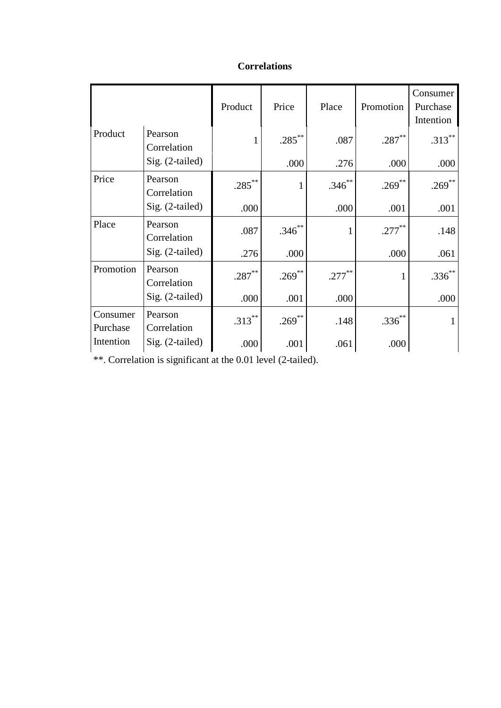|                                   |                        | Product   | Price     | Place     | Promotion | Consumer<br>Purchase<br>Intention |
|-----------------------------------|------------------------|-----------|-----------|-----------|-----------|-----------------------------------|
| Product<br>Pearson<br>Correlation | 1                      | $.285***$ | .087      | $.287***$ | $.313***$ |                                   |
|                                   | $Sig. (2-tailed)$      |           | .000      | .276      | .000      | .000                              |
| Price                             | Pearson<br>Correlation | $.285***$ | 1         | $.346***$ | .269**    | $.269***$                         |
|                                   | Sig. (2-tailed)        | .000      |           | .000      | .001      | .001                              |
| Place                             | Pearson<br>Correlation | .087      | $.346$ ** |           | $.277***$ | .148                              |
|                                   | Sig. (2-tailed)        | .276      | .000      |           | .000      | .061                              |
| Promotion                         | Pearson<br>Correlation | $.287***$ | $.269***$ | $.277***$ |           | $.336***$                         |
|                                   | Sig. (2-tailed)        | .000      | .001      | .000      |           | .000                              |
| Consumer<br>Purchase              | Pearson<br>Correlation | $.313***$ | $.269$ ** | .148      | $.336***$ | $\mathbf{1}$                      |
| Intention                         | Sig. (2-tailed)        | .000      | .001      | .061      | .000      |                                   |

### **Correlations**

\*\*. Correlation is significant at the 0.01 level (2-tailed).